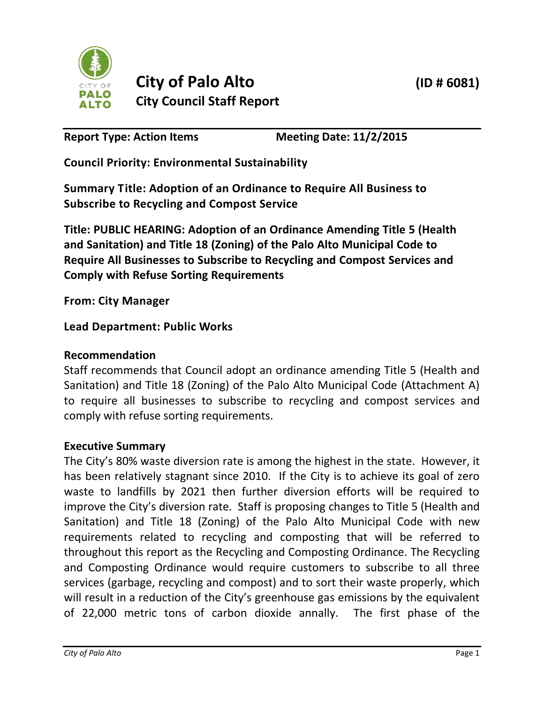

Report Type: Action Items Meeting Date: 11/2/2015

**Council Priority: Environmental Sustainability**

**Summary Title: Adoption of an Ordinance to Require All Business to Subscribe to Recycling and Compost Service**

**Title: PUBLIC HEARING: Adoption of an Ordinance Amending Title 5 (Health and Sanitation) and Title 18 (Zoning) of the Palo Alto Municipal Code to Require All Businesses to Subscribe to Recycling and Compost Services and Comply with Refuse Sorting Requirements** 

**From: City Manager**

# **Lead Department: Public Works**

# **Recommendation**

Staff recommends that Council adopt an ordinance amending Title 5 (Health and Sanitation) and Title 18 (Zoning) of the Palo Alto Municipal Code (Attachment A) to require all businesses to subscribe to recycling and compost services and comply with refuse sorting requirements.

# **Executive Summary**

The City's 80% waste diversion rate is among the highest in the state. However, it has been relatively stagnant since 2010. If the City is to achieve its goal of zero waste to landfills by 2021 then further diversion efforts will be required to improve the City's diversion rate. Staff is proposing changes to Title 5 (Health and Sanitation) and Title 18 (Zoning) of the Palo Alto Municipal Code with new requirements related to recycling and composting that will be referred to throughout this report as the Recycling and Composting Ordinance. The Recycling and Composting Ordinance would require customers to subscribe to all three services (garbage, recycling and compost) and to sort their waste properly, which will result in a reduction of the City's greenhouse gas emissions by the equivalent of 22,000 metric tons of carbon dioxide annally. The first phase of the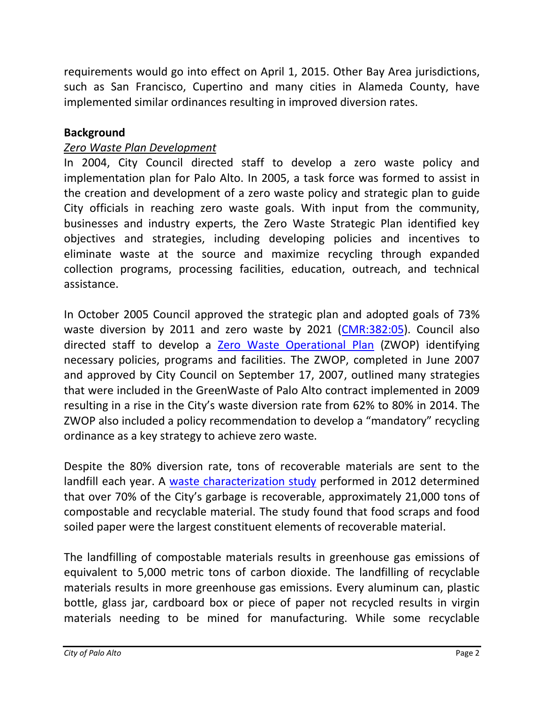requirements would go into effect on April 1, 2015. Other Bay Area jurisdictions, such as San Francisco, Cupertino and many cities in Alameda County, have implemented similar ordinances resulting in improved diversion rates.

## **Background**

### *Zero Waste Plan Development*

In 2004, City Council directed staff to develop a zero waste policy and implementation plan for Palo Alto. In 2005, a task force was formed to assist in the creation and development of a zero waste policy and strategic plan to guide City officials in reaching zero waste goals. With input from the community, businesses and industry experts, the Zero Waste Strategic Plan identified key objectives and strategies, including developing policies and incentives to eliminate waste at the source and maximize recycling through expanded collection programs, processing facilities, education, outreach, and technical assistance.

In October 2005 Council approved the strategic plan and adopted goals of 73% waste diversion by 2011 and zero waste by 2021 [\(CMR:382:05\)](http://www.cityofpaloalto.org/civicax/filebank/documents/5824). Council also directed staff to develop a [Zero Waste Operational Plan](http://www.cityofpaloalto.org/civicax/filebank/documents/10289) (ZWOP) identifying necessary policies, programs and facilities. The ZWOP, completed in June 2007 and approved by City Council on September 17, 2007, outlined many strategies that were included in the GreenWaste of Palo Alto contract implemented in 2009 resulting in a rise in the City's waste diversion rate from 62% to 80% in 2014. The ZWOP also included a policy recommendation to develop a "mandatory" recycling ordinance as a key strategy to achieve zero waste.

Despite the 80% diversion rate, tons of recoverable materials are sent to the landfill each year. A [waste characterization study](http://www.cityofpaloalto.org/civicax/filebank/documents/33681) performed in 2012 determined that over 70% of the City's garbage is recoverable, approximately 21,000 tons of compostable and recyclable material. The study found that food scraps and food soiled paper were the largest constituent elements of recoverable material.

The landfilling of compostable materials results in greenhouse gas emissions of equivalent to 5,000 metric tons of carbon dioxide. The landfilling of recyclable materials results in more greenhouse gas emissions. Every aluminum can, plastic bottle, glass jar, cardboard box or piece of paper not recycled results in virgin materials needing to be mined for manufacturing. While some recyclable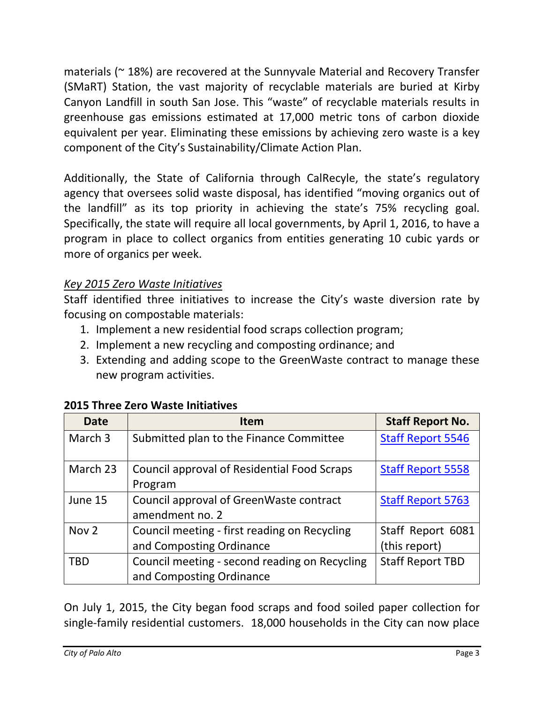materials (~ 18%) are recovered at the Sunnyvale Material and Recovery Transfer (SMaRT) Station, the vast majority of recyclable materials are buried at Kirby Canyon Landfill in south San Jose. This "waste" of recyclable materials results in greenhouse gas emissions estimated at 17,000 metric tons of carbon dioxide equivalent per year. Eliminating these emissions by achieving zero waste is a key component of the City's Sustainability/Climate Action Plan.

Additionally, the State of California through CalRecyle, the state's regulatory agency that oversees solid waste disposal, has identified "moving organics out of the landfill" as its top priority in achieving the state's 75% recycling goal. Specifically, the state will require all local governments, by April 1, 2016, to have a program in place to collect organics from entities generating 10 cubic yards or more of organics per week.

# *Key 2015 Zero Waste Initiatives*

Staff identified three initiatives to increase the City's waste diversion rate by focusing on compostable materials:

- 1. Implement a new residential food scraps collection program;
- 2. Implement a new recycling and composting ordinance; and
- 3. Extending and adding scope to the GreenWaste contract to manage these new program activities.

| <b>Date</b>      | <b>Item</b>                                                               | <b>Staff Report No.</b>            |
|------------------|---------------------------------------------------------------------------|------------------------------------|
| March 3          | Submitted plan to the Finance Committee                                   | <b>Staff Report 5546</b>           |
| March 23         | Council approval of Residential Food Scraps<br>Program                    | <b>Staff Report 5558</b>           |
| June 15          | Council approval of GreenWaste contract<br>amendment no. 2                | <b>Staff Report 5763</b>           |
| Nov <sub>2</sub> | Council meeting - first reading on Recycling<br>and Composting Ordinance  | Staff Report 6081<br>(this report) |
| <b>TBD</b>       | Council meeting - second reading on Recycling<br>and Composting Ordinance | <b>Staff Report TBD</b>            |

### **2015 Three Zero Waste Initiatives**

On July 1, 2015, the City began food scraps and food soiled paper collection for single-family residential customers. 18,000 households in the City can now place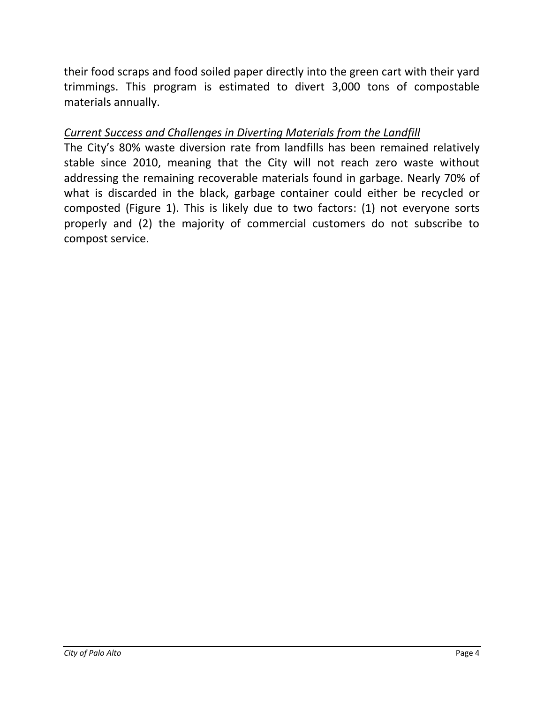their food scraps and food soiled paper directly into the green cart with their yard trimmings. This program is estimated to divert 3,000 tons of compostable materials annually.

# *Current Success and Challenges in Diverting Materials from the Landfill*

The City's 80% waste diversion rate from landfills has been remained relatively stable since 2010, meaning that the City will not reach zero waste without addressing the remaining recoverable materials found in garbage. Nearly 70% of what is discarded in the black, garbage container could either be recycled or composted (Figure 1). This is likely due to two factors: (1) not everyone sorts properly and (2) the majority of commercial customers do not subscribe to compost service.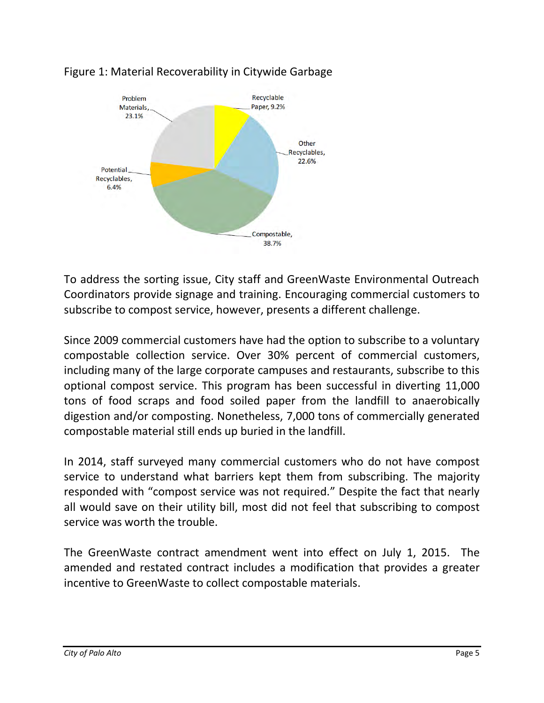

# Figure 1: Material Recoverability in Citywide Garbage

To address the sorting issue, City staff and GreenWaste Environmental Outreach Coordinators provide signage and training. Encouraging commercial customers to subscribe to compost service, however, presents a different challenge.

Since 2009 commercial customers have had the option to subscribe to a voluntary compostable collection service. Over 30% percent of commercial customers, including many of the large corporate campuses and restaurants, subscribe to this optional compost service. This program has been successful in diverting 11,000 tons of food scraps and food soiled paper from the landfill to anaerobically digestion and/or composting. Nonetheless, 7,000 tons of commercially generated compostable material still ends up buried in the landfill.

In 2014, staff surveyed many commercial customers who do not have compost service to understand what barriers kept them from subscribing. The majority responded with "compost service was not required." Despite the fact that nearly all would save on their utility bill, most did not feel that subscribing to compost service was worth the trouble.

The GreenWaste contract amendment went into effect on July 1, 2015. The amended and restated contract includes a modification that provides a greater incentive to GreenWaste to collect compostable materials.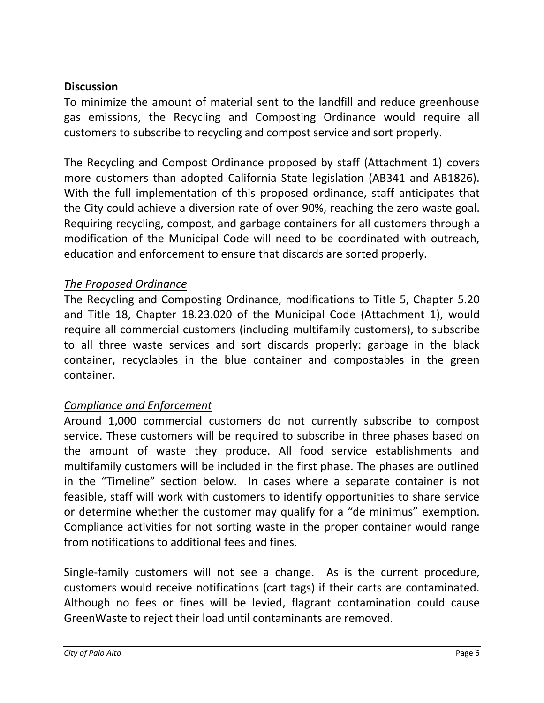## **Discussion**

To minimize the amount of material sent to the landfill and reduce greenhouse gas emissions, the Recycling and Composting Ordinance would require all customers to subscribe to recycling and compost service and sort properly.

The Recycling and Compost Ordinance proposed by staff (Attachment 1) covers more customers than adopted California State legislation (AB341 and AB1826). With the full implementation of this proposed ordinance, staff anticipates that the City could achieve a diversion rate of over 90%, reaching the zero waste goal. Requiring recycling, compost, and garbage containers for all customers through a modification of the Municipal Code will need to be coordinated with outreach, education and enforcement to ensure that discards are sorted properly.

# *The Proposed Ordinance*

The Recycling and Composting Ordinance, modifications to Title 5, Chapter 5.20 and Title 18, Chapter 18.23.020 of the Municipal Code (Attachment 1), would require all commercial customers (including multifamily customers), to subscribe to all three waste services and sort discards properly: garbage in the black container, recyclables in the blue container and compostables in the green container.

# *Compliance and Enforcement*

Around 1,000 commercial customers do not currently subscribe to compost service. These customers will be required to subscribe in three phases based on the amount of waste they produce. All food service establishments and multifamily customers will be included in the first phase. The phases are outlined in the "Timeline" section below. In cases where a separate container is not feasible, staff will work with customers to identify opportunities to share service or determine whether the customer may qualify for a "de minimus" exemption. Compliance activities for not sorting waste in the proper container would range from notifications to additional fees and fines.

Single-family customers will not see a change. As is the current procedure, customers would receive notifications (cart tags) if their carts are contaminated. Although no fees or fines will be levied, flagrant contamination could cause GreenWaste to reject their load until contaminants are removed.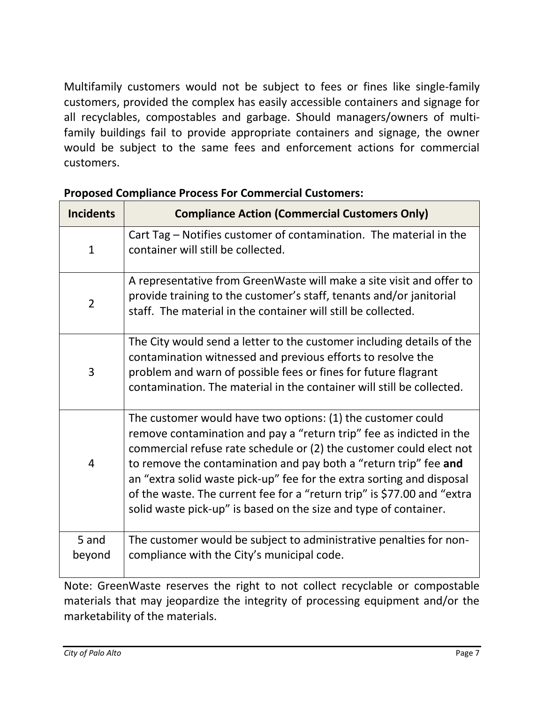Multifamily customers would not be subject to fees or fines like single-family customers, provided the complex has easily accessible containers and signage for all recyclables, compostables and garbage. Should managers/owners of multifamily buildings fail to provide appropriate containers and signage, the owner would be subject to the same fees and enforcement actions for commercial customers.

| <b>Incidents</b> | <b>Compliance Action (Commercial Customers Only)</b>                                                                                                                                                                                                                                                                                                                                                                                                                                                  |  |
|------------------|-------------------------------------------------------------------------------------------------------------------------------------------------------------------------------------------------------------------------------------------------------------------------------------------------------------------------------------------------------------------------------------------------------------------------------------------------------------------------------------------------------|--|
| $\mathbf{1}$     | Cart Tag - Notifies customer of contamination. The material in the<br>container will still be collected.                                                                                                                                                                                                                                                                                                                                                                                              |  |
| $\overline{2}$   | A representative from GreenWaste will make a site visit and offer to<br>provide training to the customer's staff, tenants and/or janitorial<br>staff. The material in the container will still be collected.                                                                                                                                                                                                                                                                                          |  |
| 3                | The City would send a letter to the customer including details of the<br>contamination witnessed and previous efforts to resolve the<br>problem and warn of possible fees or fines for future flagrant<br>contamination. The material in the container will still be collected.                                                                                                                                                                                                                       |  |
| $\overline{4}$   | The customer would have two options: (1) the customer could<br>remove contamination and pay a "return trip" fee as indicted in the<br>commercial refuse rate schedule or (2) the customer could elect not<br>to remove the contamination and pay both a "return trip" fee and<br>an "extra solid waste pick-up" fee for the extra sorting and disposal<br>of the waste. The current fee for a "return trip" is \$77.00 and "extra<br>solid waste pick-up" is based on the size and type of container. |  |
| 5 and            | The customer would be subject to administrative penalties for non-                                                                                                                                                                                                                                                                                                                                                                                                                                    |  |
| beyond           | compliance with the City's municipal code.                                                                                                                                                                                                                                                                                                                                                                                                                                                            |  |

## **Proposed Compliance Process For Commercial Customers:**

Note: GreenWaste reserves the right to not collect recyclable or compostable materials that may jeopardize the integrity of processing equipment and/or the marketability of the materials.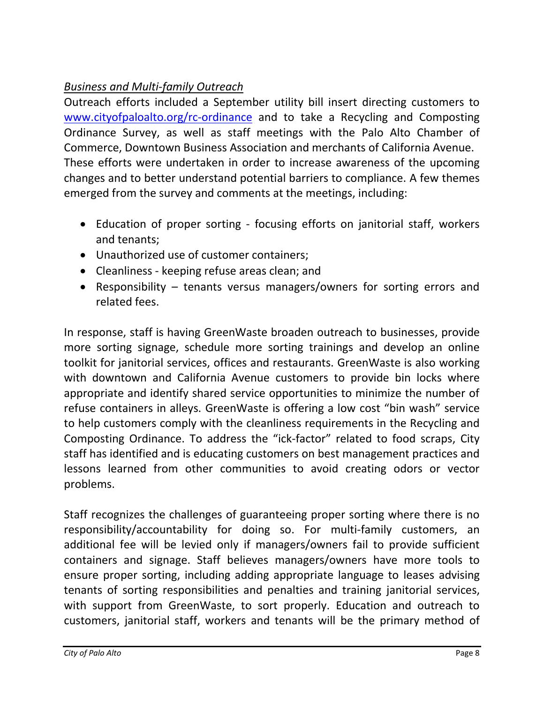# *Business and Multi-family Outreach*

Outreach efforts included a September utility bill insert directing customers to [www.cityofpaloalto.org/rc-ordinance](http://www.cityofpaloalto.org/rc-ordinance) and to take a Recycling and Composting Ordinance Survey, as well as staff meetings with the Palo Alto Chamber of Commerce, Downtown Business Association and merchants of California Avenue. These efforts were undertaken in order to increase awareness of the upcoming changes and to better understand potential barriers to compliance. A few themes emerged from the survey and comments at the meetings, including:

- Education of proper sorting focusing efforts on janitorial staff, workers and tenants;
- Unauthorized use of customer containers;
- Cleanliness keeping refuse areas clean; and
- Responsibility tenants versus managers/owners for sorting errors and related fees.

In response, staff is having GreenWaste broaden outreach to businesses, provide more sorting signage, schedule more sorting trainings and develop an online toolkit for janitorial services, offices and restaurants. GreenWaste is also working with downtown and California Avenue customers to provide bin locks where appropriate and identify shared service opportunities to minimize the number of refuse containers in alleys. GreenWaste is offering a low cost "bin wash" service to help customers comply with the cleanliness requirements in the Recycling and Composting Ordinance. To address the "ick-factor" related to food scraps, City staff has identified and is educating customers on best management practices and lessons learned from other communities to avoid creating odors or vector problems.

Staff recognizes the challenges of guaranteeing proper sorting where there is no responsibility/accountability for doing so. For multi-family customers, an additional fee will be levied only if managers/owners fail to provide sufficient containers and signage. Staff believes managers/owners have more tools to ensure proper sorting, including adding appropriate language to leases advising tenants of sorting responsibilities and penalties and training janitorial services, with support from GreenWaste, to sort properly. Education and outreach to customers, janitorial staff, workers and tenants will be the primary method of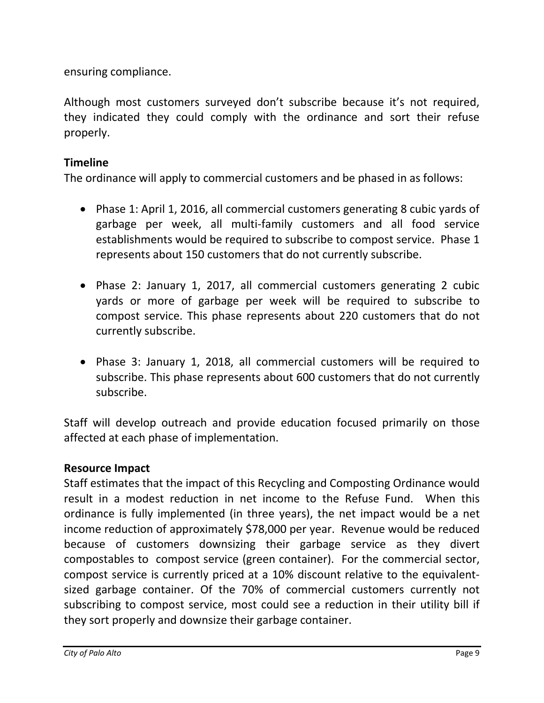ensuring compliance.

Although most customers surveyed don't subscribe because it's not required, they indicated they could comply with the ordinance and sort their refuse properly.

# **Timeline**

The ordinance will apply to commercial customers and be phased in as follows:

- Phase 1: April 1, 2016, all commercial customers generating 8 cubic yards of garbage per week, all multi-family customers and all food service establishments would be required to subscribe to compost service. Phase 1 represents about 150 customers that do not currently subscribe.
- Phase 2: January 1, 2017, all commercial customers generating 2 cubic yards or more of garbage per week will be required to subscribe to compost service. This phase represents about 220 customers that do not currently subscribe.
- Phase 3: January 1, 2018, all commercial customers will be required to subscribe. This phase represents about 600 customers that do not currently subscribe.

Staff will develop outreach and provide education focused primarily on those affected at each phase of implementation.

# **Resource Impact**

Staff estimates that the impact of this Recycling and Composting Ordinance would result in a modest reduction in net income to the Refuse Fund. When this ordinance is fully implemented (in three years), the net impact would be a net income reduction of approximately \$78,000 per year. Revenue would be reduced because of customers downsizing their garbage service as they divert compostables to compost service (green container). For the commercial sector, compost service is currently priced at a 10% discount relative to the equivalentsized garbage container. Of the 70% of commercial customers currently not subscribing to compost service, most could see a reduction in their utility bill if they sort properly and downsize their garbage container.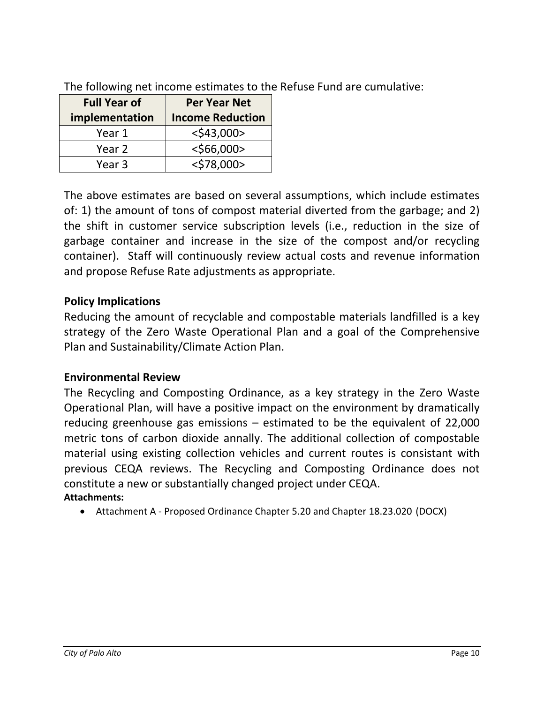| <b>Full Year of</b> | <b>Per Year Net</b>     |
|---------------------|-------------------------|
| implementation      | <b>Income Reduction</b> |
| Year 1              | $<$ \$43,000>           |
| Year 2              | $<$ \$66,000>           |
| Year 3              | $<$ \$78,000>           |

The following net income estimates to the Refuse Fund are cumulative:

The above estimates are based on several assumptions, which include estimates of: 1) the amount of tons of compost material diverted from the garbage; and 2) the shift in customer service subscription levels (i.e., reduction in the size of garbage container and increase in the size of the compost and/or recycling container). Staff will continuously review actual costs and revenue information and propose Refuse Rate adjustments as appropriate.

## **Policy Implications**

Reducing the amount of recyclable and compostable materials landfilled is a key strategy of the Zero Waste Operational Plan and a goal of the Comprehensive Plan and Sustainability/Climate Action Plan.

### **Environmental Review**

The Recycling and Composting Ordinance, as a key strategy in the Zero Waste Operational Plan, will have a positive impact on the environment by dramatically reducing greenhouse gas emissions – estimated to be the equivalent of 22,000 metric tons of carbon dioxide annally. The additional collection of compostable material using existing collection vehicles and current routes is consistant with previous CEQA reviews. The Recycling and Composting Ordinance does not constitute a new or substantially changed project under CEQA. **Attachments:** 

Attachment A - Proposed Ordinance Chapter 5.20 and Chapter 18.23.020 (DOCX)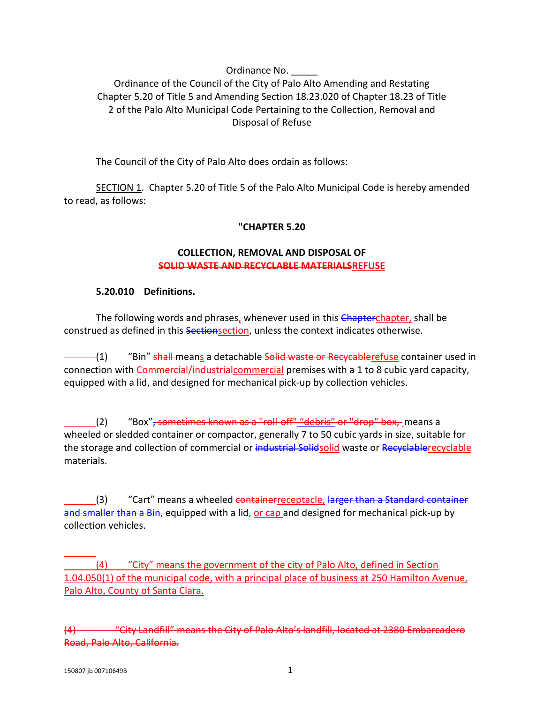#### Ordinance No.

Ordinance of the Council of the City of Palo Alto Amending and Restating Chapter 5.20 of Title 5 and Amending Section 18.23.020 of Chapter 18.23 of Title 2 of the Palo Alto Municipal Code Pertaining to the Collection, Removal and Disposal of Refuse

The Council of the City of Palo Alto does ordain as follows:

SECTION 1. Chapter 5.20 of Title 5 of the Palo Alto Municipal Code is hereby amended to read, as follows:

#### **"CHAPTER 5.20**

#### **COLLECTION, REMOVAL AND DISPOSAL OF SOLID WASTE AND RECYCLABLE MATERIALSREFUSE**

#### **5.20.010 Definitions.**

The following words and phrases, whenever used in this Chapterchapter, shall be construed as defined in this Sectionsection, unless the context indicates otherwise.

 $-(1)$  "Bin" shall-means a detachable solid waste or Recycablerefuse container used in connection with Commercial/industrialcommercial premises with a 1 to 8 cubic yard capacity, equipped with a lid, and designed for mechanical pick-up by collection vehicles.

(2) "Box", sometimes known as a "roll-off" "debris" or "drop" box, means a wheeled or sledded container or compactor, generally 7 to 50 cubic yards in size, suitable for the storage and collection of commercial or industrial Solidsolid waste or Recyclablerecyclable materials.

(3) "Cart" means a wheeled containerreceptacle, larger than a Standard container and smaller than a Bin, equipped with a lid, or cap and designed for mechanical pick-up by collection vehicles.

 (4) "City" means the government of the city of Palo Alto, defined in Section 1.04.050(1) of the municipal code, with a principal place of business at 250 Hamilton Avenue, Palo Alto, County of Santa Clara.

(4) "City Landfill" means the City of Palo Alto's landfill, located at 2380 Embarcadero Road, Palo Alto, California.

 $\overline{a}$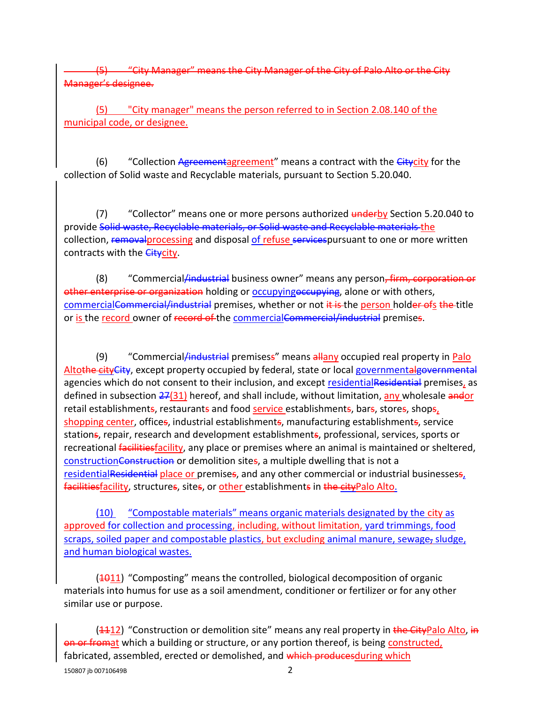(1) Aanager" means the City Manager of the City of Palo Alto or the City Manager's designee.

(5) "City manager" means the person referred to in Section 2.08.140 of the municipal code, or designee.

 $(6)$  "Collection Agreementagreement" means a contract with the  $G$ itycity for the collection of Solid waste and Recyclable materials, pursuant to Section 5.20.040.

(7) "Collector" means one or more persons authorized underby Section 5.20.040 to provide Solid waste, Recyclable materials, or Solid waste and Recyclable materials the collection, removal processing and disposal of refuse services pursuant to one or more written contracts with the *Citycity*.

(8) "Commercial<del>/industrial</del> business owner" means any person<del>, firm, corporation or</del> other enterprise or organization holding or occupyingoccupying, alone or with others, commercialCommercial/industrial premises, whether or not it is the person holder ofs the title or is the record owner of record of the commercialCommercial/industrial premises.

(9) "Commercial/industrial premisess" means allany occupied real property in Palo Altothe cityCity, except property occupied by federal, state or local governmentalgovernmental agencies which do not consent to their inclusion, and except residentialResidential premises, as defined in subsection  $27(31)$  hereof, and shall include, without limitation, any wholesale andor retail establishments, restaurants and food service establishments, bars, stores, shops, shopping center, offices, industrial establishments, manufacturing establishments, service stations, repair, research and development establishments, professional, services, sports or recreational *facilitiesfacility*, any place or premises where an animal is maintained or sheltered, constructionConstruction or demolition sites, a multiple dwelling that is not a residentialResidential place or premises, and any other commercial or industrial businessess, facilitiesfacility, structures, sites, or other establishments in the cityPalo Alto.

(10) "Compostable materials" means organic materials designated by the city as approved for collection and processing, including, without limitation, yard trimmings, food scraps, soiled paper and compostable plastics, but excluding animal manure, sewage, sludge, and human biological wastes.

 $(4011)$  "Composting" means the controlled, biological decomposition of organic materials into humus for use as a soil amendment, conditioner or fertilizer or for any other similar use or purpose.

150807 jb 00710649B 2  $(1112)$  "Construction or demolition site" means any real property in the CityPalo Alto, in on or fromat which a building or structure, or any portion thereof, is being constructed, fabricated, assembled, erected or demolished, and which producesduring which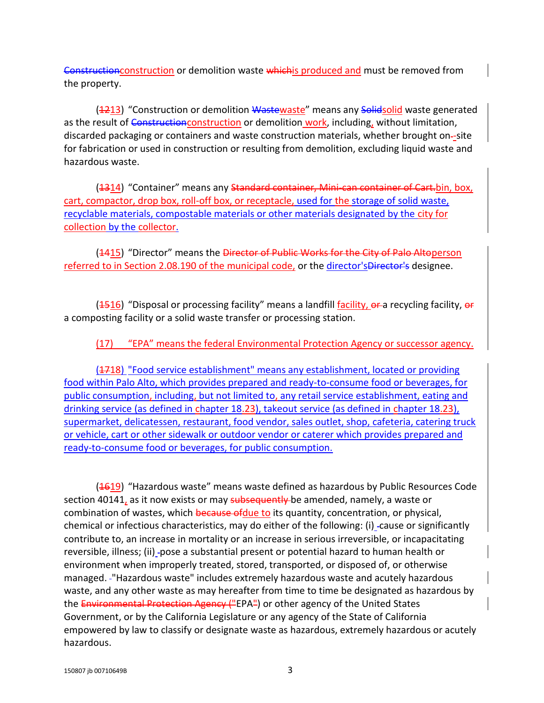Construction construction or demolition waste whichis produced and must be removed from the property.

(4213) "Construction or demolition Wastewaste" means any Solidsolid waste generated as the result of Constructionconstruction or demolition work, including, without limitation, discarded packaging or containers and waste construction materials, whether brought on-site for fabrication or used in construction or resulting from demolition, excluding liquid waste and hazardous waste.

(4314) "Container" means any Standard container, Mini-can container of Cart.bin, box, cart, compactor, drop box, roll-off box, or receptacle, used for the storage of solid waste, recyclable materials, compostable materials or other materials designated by the city for collection by the collector.

(4415) "Director" means the Director of Public Works for the City of Palo Altoperson referred to in Section 2.08.190 of the municipal code, or the director's Director's designee.

 $(4516)$  "Disposal or processing facility" means a landfill facility,  $\theta$  a recycling facility,  $\theta$ a composting facility or a solid waste transfer or processing station.

(17) "EPA" means the federal Environmental Protection Agency or successor agency.

(4718) "Food service establishment" means any establishment, located or providing food within Palo Alto, which provides prepared and ready-to-consume food or beverages, for public consumption, including, but not limited to, any retail service establishment, eating and drinking service (as defined in chapter 18.23), takeout service (as defined in chapter 18.23), supermarket, delicatessen, restaurant, food vendor, sales outlet, shop, cafeteria, catering truck or vehicle, cart or other sidewalk or outdoor vendor or caterer which provides prepared and ready-to-consume food or beverages, for public consumption.

 $(4619)$  "Hazardous waste" means waste defined as hazardous by Public Resources Code section 40141, as it now exists or may subsequently be amended, namely, a waste or combination of wastes, which because of due to its quantity, concentration, or physical, chemical or infectious characteristics, may do either of the following: (i) -cause or significantly contribute to, an increase in mortality or an increase in serious irreversible, or incapacitating reversible, illness; (ii) -pose a substantial present or potential hazard to human health or environment when improperly treated, stored, transported, or disposed of, or otherwise managed. "Hazardous waste" includes extremely hazardous waste and acutely hazardous waste, and any other waste as may hereafter from time to time be designated as hazardous by the Environmental Protection Agency ("EPA") or other agency of the United States Government, or by the California Legislature or any agency of the State of California empowered by law to classify or designate waste as hazardous, extremely hazardous or acutely hazardous.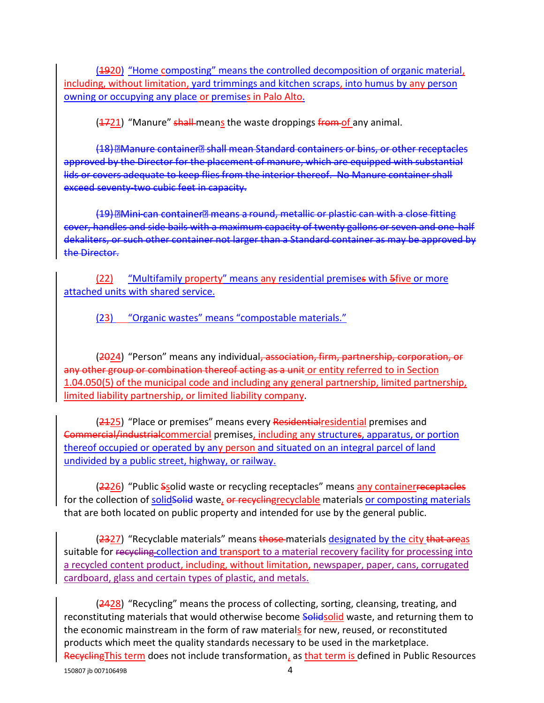(1920) "Home composting" means the controlled decomposition of organic material, including, without limitation, yard trimmings and kitchen scraps, into humus by any person owning or occupying any place or premises in Palo Alto.

(4721) "Manure" shall-means the waste droppings from of any animal.

(18) **EManure container Bshall mean Standard containers or bins, or other receptacles** approved by the Director for the placement of manure, which are equipped with substantial lids or covers adequate to keep flies from the interior thereof. No Manure container shall exceed seventy-two cubic feet in capacity.

(19) DMini-can container means a round, metallic or plastic can with a close fitting cover, handles and side bails with a maximum capacity of twenty gallons or seven and one-half dekaliters, or such other container not larger than a Standard container as may be approved by the Director.

(22) "Multifamily property" means any residential premises with 5five or more attached units with shared service.

(23) "Organic wastes" means "compostable materials."

(2024) "Person" means any individual, association, firm, partnership, corporation, or any other group or combination thereof acting as a unit or entity referred to in Section 1.04.050(5) of the municipal code and including any general partnership, limited partnership, limited liability partnership, or limited liability company.

(2425) "Place or premises" means every Residential residential premises and Commercial/industrialcommercial premises, including any structures, apparatus, or portion thereof occupied or operated by any person and situated on an integral parcel of land undivided by a public street, highway, or railway.

(2226) "Public Ssolid waste or recycling receptacles" means any containerreceptacles for the collection of solidsolid waste, or recycling recyclable materials or composting materials that are both located on public property and intended for use by the general public.

(2327) "Recyclable materials" means those materials designated by the city that areas suitable for recycling collection and transport to a material recovery facility for processing into a recycled content product, including, without limitation, newspaper, paper, cans, corrugated cardboard, glass and certain types of plastic, and metals.

(2428) "Recycling" means the process of collecting, sorting, cleansing, treating, and reconstituting materials that would otherwise become **Solidsolid** waste, and returning them to the economic mainstream in the form of raw materials for new, reused, or reconstituted products which meet the quality standards necessary to be used in the marketplace. RecyclingThis term does not include transformation, as that term is defined in Public Resources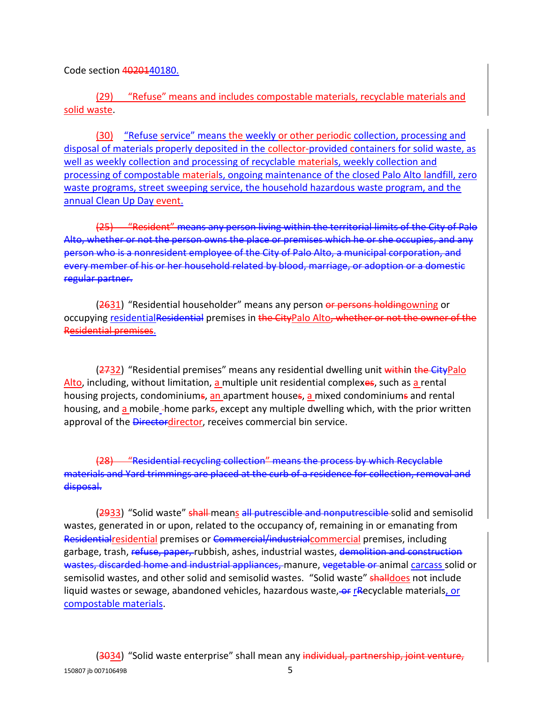Code section 4020140180.

(29) "Refuse" means and includes compostable materials, recyclable materials and solid waste.

(30) "Refuse service" means the weekly or other periodic collection, processing and disposal of materials properly deposited in the collector-provided containers for solid waste, as well as weekly collection and processing of recyclable materials, weekly collection and processing of compostable materials, ongoing maintenance of the closed Palo Alto landfill, zero waste programs, street sweeping service, the household hazardous waste program, and the annual Clean Up Day event.

(25) "Resident" means any person living within the territorial limits of the City of Palo Alto, whether or not the person owns the place or premises which he or she occupies, and any person who is a nonresident employee of the City of Palo Alto, a municipal corporation, and every member of his or her household related by blood, marriage, or adoption or a domestic regular partner.

(2631) "Residential householder" means any person or persons holdingowning or occupying residentialResidential premises in the CityPalo Alto, whether or not the owner of the Residential premises.

(2732) "Residential premises" means any residential dwelling unit within the CityPalo Alto, including, without limitation, a multiple unit residential complexes, such as a rental housing projects, condominiums, an apartment houses, a mixed condominiums and rental housing, and a mobile -home parks, except any multiple dwelling which, with the prior written approval of the Directordirector, receives commercial bin service.

(28) "Residential recycling collection" means the process by which Recyclable materials and Yard trimmings are placed at the curb of a residence for collection, removal and disposal.

(2933) "Solid waste" shall-means all putrescible and nonputrescible-solid and semisolid wastes, generated in or upon, related to the occupancy of, remaining in or emanating from Residentialresidential premises or Commercial/industrialcommercial premises, including garbage, trash, refuse, paper, rubbish, ashes, industrial wastes, demolition and construction wastes, discarded home and industrial appliances, manure, vegetable or animal carcass solid or semisolid wastes, and other solid and semisolid wastes. "Solid waste" shalldoes not include liquid wastes or sewage, abandoned vehicles, hazardous waste, or rRecyclable materials, or compostable materials.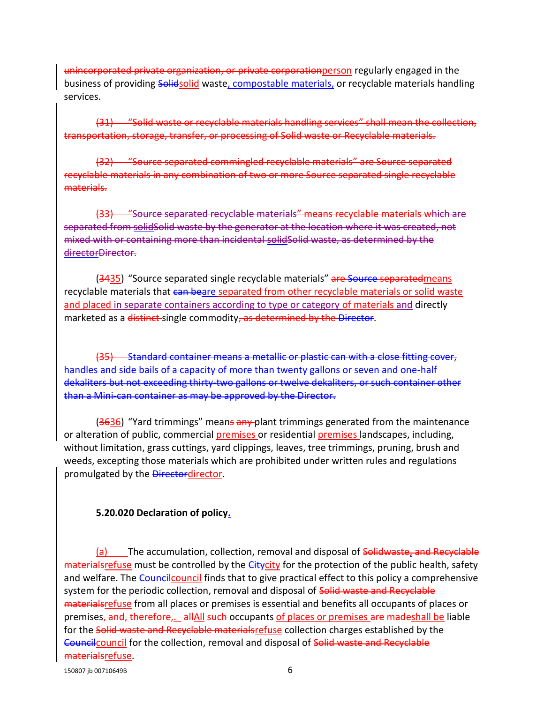unincorporated private organization, or private corporationperson regularly engaged in the business of providing Solidsolid waste, compostable materials, or recyclable materials handling services.

(31) "Solid waste or recyclable materials handling services" shall mean the collection, transportation, storage, transfer, or processing of Solid waste or Recyclable materials.

(32) "Source separated commingled recyclable materials" are Source separated recyclable materials in any combination of two or more Source separated single recyclable materials.

(33) "Source separated recyclable materials" means recyclable materials which are separated from solidSolid waste by the generator at the location where it was created, not mixed with or containing more than incidental solidSolid waste, as determined by the directorDirector.

(3435) "Source separated single recyclable materials" are Source separatedmeans recyclable materials that can beare separated from other recyclable materials or solid waste and placed in separate containers according to type or category of materials and directly marketed as a distinct-single commodity, as determined by the Director.

Standard container means a metallic or plastic can with a close fitting cover, handles and side bails of a capacity of more than twenty gallons or seven and one-half dekaliters but not exceeding thirty-two gallons or twelve dekaliters, or such container other than a Mini-can container as may be approved by the Director.

(3636) "Yard trimmings" means any plant trimmings generated from the maintenance or alteration of public, commercial premises or residential premises landscapes, including, without limitation, grass cuttings, yard clippings, leaves, tree trimmings, pruning, brush and weeds, excepting those materials which are prohibited under written rules and regulations promulgated by the **Directordirector**.

#### **5.20.020 Declaration of policy.**

(a) The accumulation, collection, removal and disposal of Solidwaste, and Recyclable materials refuse must be controlled by the Citycity for the protection of the public health, safety and welfare. The Council council finds that to give practical effect to this policy a comprehensive system for the periodic collection, removal and disposal of Solid waste and Recyclable material stefuse from all places or premises is essential and benefits all occupants of places or premises, and, therefore,. -allAll such occupants of places or premises are madeshall be liable for the Solid waste and Recyclable materials refuse collection charges established by the Councilcouncil for the collection, removal and disposal of Solid waste and Recyclable materialsrefuse.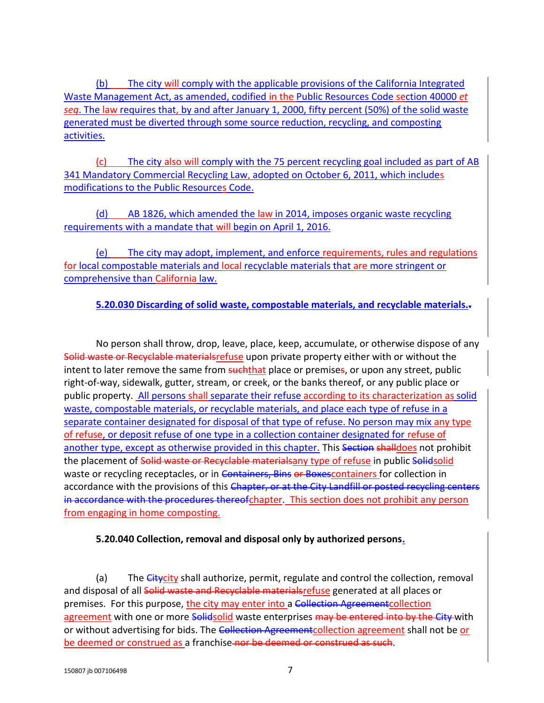(b) The city will comply with the applicable provisions of the California Integrated Waste Management Act, as amended, codified in the Public Resources Code section 40000 *et seq*. The law requires that, by and after January 1, 2000, fifty percent (50%) of the solid waste generated must be diverted through some source reduction, recycling, and composting activities.

(c) The city also will comply with the 75 percent recycling goal included as part of AB 341 Mandatory Commercial Recycling Law, adopted on October 6, 2011, which includes modifications to the Public Resources Code.

(d) AB 1826, which amended the law in 2014, imposes organic waste recycling requirements with a mandate that will begin on April 1, 2016.

(e) The city may adopt, implement, and enforce requirements, rules and regulations for local compostable materials and local recyclable materials that are more stringent or comprehensive than California law.

**5.20.030 Discarding of solid waste, compostable materials, and recyclable materials..**

No person shall throw, drop, leave, place, keep, accumulate, or otherwise dispose of any Solid waste or Recyclable materialsrefuse upon private property either with or without the intent to later remove the same from suchthat place or premises, or upon any street, public right-of-way, sidewalk, gutter, stream, or creek, or the banks thereof, or any public place or public property. All persons shall separate their refuse according to its characterization as solid waste, compostable materials, or recyclable materials, and place each type of refuse in a separate container designated for disposal of that type of refuse. No person may mix any type of refuse, or deposit refuse of one type in a collection container designated for refuse of another type, except as otherwise provided in this chapter. This Section shalldoes not prohibit the placement of Solid waste or Recyclable materialsany type of refuse in public Solidsolid waste or recycling receptacles, or in Containers, Bins or Boxescontainers for collection in accordance with the provisions of this Chapter, or at the City Landfill or posted recycling centers in accordance with the procedures thereofchapter. This section does not prohibit any person from engaging in home composting.

### **5.20.040 Collection, removal and disposal only by authorized persons.**

(a) The Citycity shall authorize, permit, regulate and control the collection, removal and disposal of all Solid waste and Recyclable materialsrefuse generated at all places or premises. For this purpose, the city may enter into a Collection Agreement collection agreement with one or more Solidsolid waste enterprises may be entered into by the City with or without advertising for bids. The Collection Agreement collection agreement shall not be or be deemed or construed as a franchise nor be deemed or construed as such.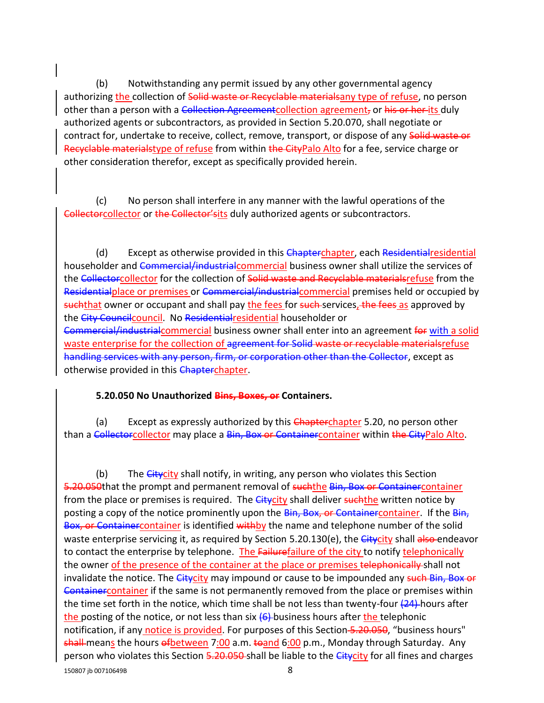(b) Notwithstanding any permit issued by any other governmental agency authorizing the collection of Solid waste or Recyclable materialsany type of refuse, no person other than a person with a Collection Agreementcollection agreement, or his or her its duly authorized agents or subcontractors, as provided in Section 5.20.070, shall negotiate or contract for, undertake to receive, collect, remove, transport, or dispose of any Solid waste or Recyclable materialstype of refuse from within the CityPalo Alto for a fee, service charge or other consideration therefor, except as specifically provided herein.

(c) No person shall interfere in any manner with the lawful operations of the Collectorcollector or the Collector'sits duly authorized agents or subcontractors.

(d) Except as otherwise provided in this Chapterchapter, each Residential residential householder and Commercial/industrialcommercial business owner shall utilize the services of the Collectorcollector for the collection of Solid waste and Recyclable materialsrefuse from the Residentialplace or premises or Commercial/industrialcommercial premises held or occupied by such that owner or occupant and shall pay the fees for such services, the fees as approved by the City Councilcouncil. No Residentialresidential householder or Commercial/industrialcommercial business owner shall enter into an agreement for with a solid waste enterprise for the collection of agreement for Solid waste or recyclable materialsrefuse handling services with any person, firm, or corporation other than the Collector, except as otherwise provided in this Chapterchapter.

#### **5.20.050 No Unauthorized Bins, Boxes, or Containers.**

(a) Except as expressly authorized by this Chapterchapter 5.20, no person other than a Collectorcollector may place a Bin, Box or Containercontainer within the CityPalo Alto.

150807 jb 00710649B 8 (b) The  $Gitycity$  shall notify, in writing, any person who violates this Section 5.20.050that the prompt and permanent removal of suchthe Bin, Box or Containercontainer from the place or premises is required. The *Citycity* shall deliver *suchthe* written notice by posting a copy of the notice prominently upon the Bin, Box, or Containercontainer. If the Bin, Box, or Container container is identified withby the name and telephone number of the solid waste enterprise servicing it, as required by Section 5.20.130(e), the Citycity shall also endeavor to contact the enterprise by telephone. The Failurefailure of the city to notify telephonically the owner of the presence of the container at the place or premises telephonically-shall not invalidate the notice. The *Citycity* may impound or cause to be impounded any such Bin, Box or Containercontainer if the same is not permanently removed from the place or premises within the time set forth in the notice, which time shall be not less than twenty-four  $(24)$ -hours after the posting of the notice, or not less than six  $(6)$  business hours after the telephonic notification, if any notice is provided. For purposes of this Section-5.20.050, "business hours" shall means the hours of between 7:00 a.m. to and 6:00 p.m., Monday through Saturday. Any person who violates this Section 5.20.050 shall be liable to the Citycity for all fines and charges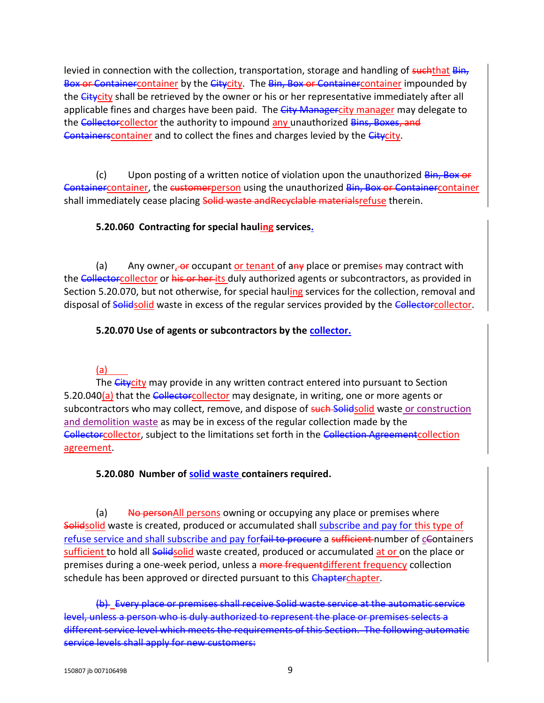levied in connection with the collection, transportation, storage and handling of suchthat Bin, Box or Containercontainer by the Citycity. The Bin, Box or Containercontainer impounded by the Citycity shall be retrieved by the owner or his or her representative immediately after all applicable fines and charges have been paid. The City Managercity manager may delegate to the Collectorcollector the authority to impound any unauthorized Bins, Boxes, and Containers container and to collect the fines and charges levied by the Citycity.

 $(c)$  Upon posting of a written notice of violation upon the unauthorized  $\frac{sin, Box}{}$ Containercontainer, the customerperson using the unauthorized Bin, Box or Containercontainer shall immediately cease placing Solid waste and Recyclable materials refuse therein.

### **5.20.060 Contracting for special hauling services.**

(a) Any owner,  $-$  occupant or tenant of any place or premises may contract with the Collectorcollector or his or her its duly authorized agents or subcontractors, as provided in Section 5.20.070, but not otherwise, for special hauling services for the collection, removal and disposal of Solidsolid waste in excess of the regular services provided by the Collectorcollector.

### **5.20.070 Use of agents or subcontractors by the collector.**

### (a)

The *Citycity* may provide in any written contract entered into pursuant to Section 5.20.040(a) that the Collectorcollector may designate, in writing, one or more agents or subcontractors who may collect, remove, and dispose of such Solidsolid waste or construction and demolition waste as may be in excess of the regular collection made by the Collectorcollector, subject to the limitations set forth in the Collection Agreementcollection agreement.

### **5.20.080 Number of solid waste containers required.**

(a) Ho personall persons owning or occupying any place or premises where Solidsolid waste is created, produced or accumulated shall subscribe and pay for this type of refuse service and shall subscribe and pay forfail to procure a sufficient number of cContainers sufficient to hold all Solidsolid waste created, produced or accumulated at or on the place or premises during a one-week period, unless a more frequent different frequency collection schedule has been approved or directed pursuant to this Chapterchapter.

(b) Every place or premises shall receive Solid waste service at the automatic service level, unless a person who is duly authorized to represent the place or premises selects a different service level which meets the requirements of this Section. The following automatic service levels shall apply for new customers: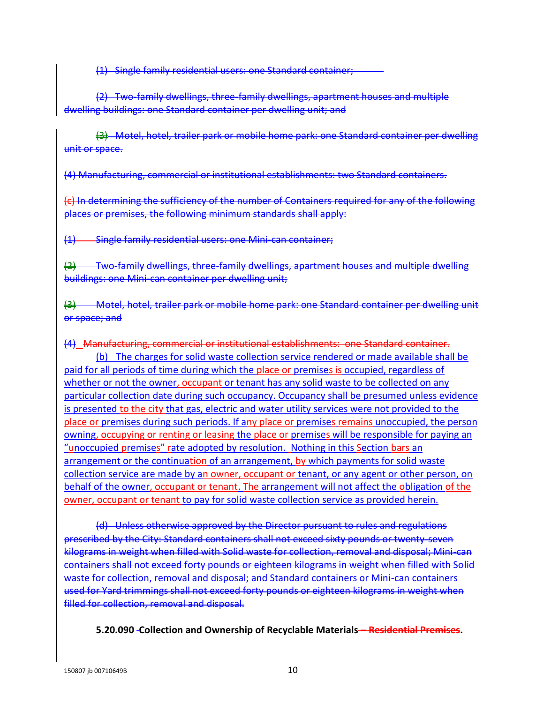(1) Single family residential users: one Standard container;

(2) Two-family dwellings, three-family dwellings, apartment houses and multiple dwelling buildings: one Standard container per dwelling unit; and

(3) Motel, hotel, trailer park or mobile home park: one Standard container per dwelling unit or space.

(4) Manufacturing, commercial or institutional establishments: two Standard containers.

(c) In determining the sufficiency of the number of Containers required for any of the following places or premises, the following minimum standards shall apply:

(1) Single family residential users: one Mini-can container;

 $\left(4\right)$  Two-family dwellings, three-family dwellings, apartment houses and multiple dwelling buildings: one Mini-can container per dwelling unit;

Motel, hotel, trailer park or mobile home park: one Standard container per dwelling unit or space; and

(4) Manufacturing, commercial or institutional establishments: one Standard container.

(b) The charges for solid waste collection service rendered or made available shall be paid for all periods of time during which the place or premises is occupied, regardless of whether or not the owner, occupant or tenant has any solid waste to be collected on any particular collection date during such occupancy. Occupancy shall be presumed unless evidence is presented to the city that gas, electric and water utility services were not provided to the place or premises during such periods. If any place or premises remains unoccupied, the person owning, occupying or renting or leasing the place or premises will be responsible for paying an "unoccupied premises" rate adopted by resolution. Nothing in this Section bars an arrangement or the continuation of an arrangement, by which payments for solid waste collection service are made by an owner, occupant or tenant, or any agent or other person, on behalf of the owner, occupant or tenant. The arrangement will not affect the obligation of the owner, occupant or tenant to pay for solid waste collection service as provided herein.

(d) Unless otherwise approved by the Director pursuant to rules and regulations prescribed by the City: Standard containers shall not exceed sixty pounds or twentykilograms in weight when filled with Solid waste for collection, removal and disposal; Mini-can itainers shall not exceed forty pounds or eighteen kilograms in weight when filled with Solid waste for collection, removal and disposal; and Standard containers or Mini-can containers used for Yard trimmings shall not exceed forty pounds or eighteen kilograms in weight when filled for collection, removal and disposal.

**5.20.090 Collection and Ownership of Recyclable Materials – Residential Premises.**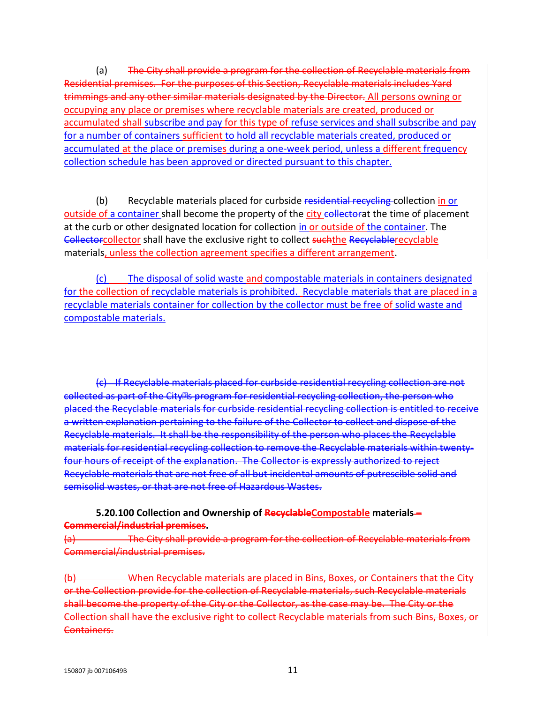(a) The City shall provide a program for the collection of Recyclable materials from Residential premises. For the purposes of this Section, Recyclable materials includes Yard trimmings and any other similar materials designated by the Director. All persons owning or occupying any place or premises where recyclable materials are created, produced or accumulated shall subscribe and pay for this type of refuse services and shall subscribe and pay for a number of containers sufficient to hold all recyclable materials created, produced or accumulated at the place or premises during a one-week period, unless a different frequency collection schedule has been approved or directed pursuant to this chapter.

(b) Recyclable materials placed for curbside residential recycling collection in or outside of a container shall become the property of the city collectorat the time of placement at the curb or other designated location for collection in or outside of the container. The Collectorcollector shall have the exclusive right to collect such the Recyclablerecyclable materials, unless the collection agreement specifies a different arrangement.

(c) The disposal of solid waste and compostable materials in containers designated for the collection of recyclable materials is prohibited. Recyclable materials that are placed in a recyclable materials container for collection by the collector must be free of solid waste and compostable materials.

(c) If Recyclable materials placed for curbside residential recycling collection are not collected as part of the City<sup>p</sup>s program for residential recycling collection, the person who placed the Recyclable materials for curbside residential recycling collection is entitled to receive a written explanation pertaining to the failure of the Collector to collect and dispose of the Recyclable materials. It shall be the responsibility of the person who places the Recyclable materials for residential recycling collection to remove the Recyclable materials within twentyfour hours of receipt of the explanation. The Collector is expressly authorized to reject Recyclable materials that are not free of all but incidental amounts of putrescible solid and semisolid wastes, or that are not free of Hazardous Wastes.

#### **5.20.100 Collection and Ownership of RecyclableCompostable materials – Commercial/industrial premises.**

(a) The City shall provide a program for the collection of Recyclable materials from Commercial/industrial premises.

(b) When Recyclable materials are placed in Bins, Boxes, or Containers that the City or the Collection provide for the collection of Recyclable materials, such Recyclable materials shall become the property of the City or the Collector, as the case may be. The City or the Collection shall have the exclusive right to collect Recyclable materials from such Bins, Boxes, Containers.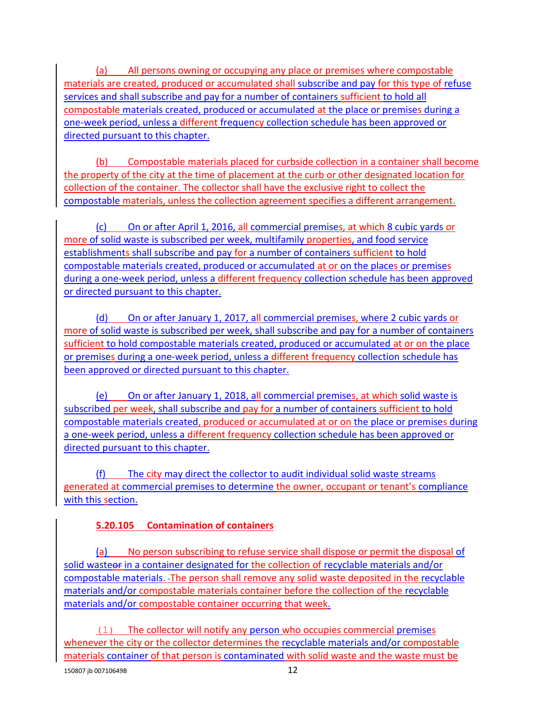(a) All persons owning or occupying any place or premises where compostable materials are created, produced or accumulated shall subscribe and pay for this type of refuse services and shall subscribe and pay for a number of containers sufficient to hold all compostable materials created, produced or accumulated at the place or premises during a one-week period, unless a different frequency collection schedule has been approved or directed pursuant to this chapter.

(b) Compostable materials placed for curbside collection in a container shall become the property of the city at the time of placement at the curb or other designated location for collection of the container. The collector shall have the exclusive right to collect the compostable materials, unless the collection agreement specifies a different arrangement.

(c) On or after April 1, 2016, all commercial premises, at which 8 cubic yards or more of solid waste is subscribed per week, multifamily properties, and food service establishments shall subscribe and pay for a number of containers sufficient to hold compostable materials created, produced or accumulated at or on the places or premises during a one-week period, unless a different frequency collection schedule has been approved or directed pursuant to this chapter.

(d) On or after January 1, 2017, all commercial premises, where 2 cubic yards or more of solid waste is subscribed per week, shall subscribe and pay for a number of containers sufficient to hold compostable materials created, produced or accumulated at or on the place or premises during a one-week period, unless a different frequency collection schedule has been approved or directed pursuant to this chapter.

(e) On or after January 1, 2018, all commercial premises, at which solid waste is subscribed per week, shall subscribe and pay for a number of containers sufficient to hold compostable materials created, produced or accumulated at or on the place or premises during a one-week period, unless a different frequency collection schedule has been approved or directed pursuant to this chapter.

(f) The city may direct the collector to audit individual solid waste streams generated at commercial premises to determine the owner, occupant or tenant's compliance with this section.

### **5.20.105 Contamination of containers**

(a) No person subscribing to refuse service shall dispose or permit the disposal of solid wasteor in a container designated for the collection of recyclable materials and/or compostable materials. The person shall remove any solid waste deposited in the recyclable materials and/or compostable materials container before the collection of the recyclable materials and/or compostable container occurring that week.

(1) The collector will notify any person who occupies commercial premises whenever the city or the collector determines the recyclable materials and/or compostable materials container of that person is contaminated with solid waste and the waste must be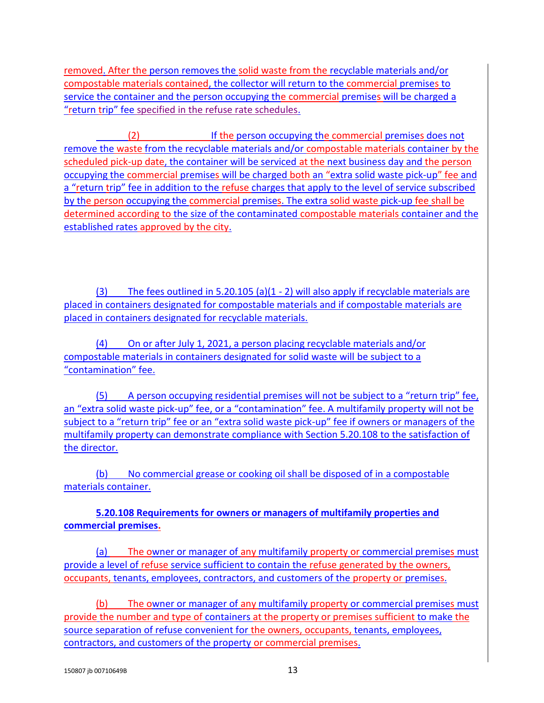removed. After the person removes the solid waste from the recyclable materials and/or compostable materials contained, the collector will return to the commercial premises to service the container and the person occupying the commercial premises will be charged a "return trip" fee specified in the refuse rate schedules.

(2) If the person occupying the commercial premises does not remove the waste from the recyclable materials and/or compostable materials container by the scheduled pick-up date, the container will be serviced at the next business day and the person occupying the commercial premises will be charged both an "extra solid waste pick-up" fee and a "return trip" fee in addition to the refuse charges that apply to the level of service subscribed by the person occupying the commercial premises. The extra solid waste pick-up fee shall be determined according to the size of the contaminated compostable materials container and the established rates approved by the city.

(3) The fees outlined in 5.20.105 (a)(1 - 2) will also apply if recyclable materials are placed in containers designated for compostable materials and if compostable materials are placed in containers designated for recyclable materials.

(4) On or after July 1, 2021, a person placing recyclable materials and/or compostable materials in containers designated for solid waste will be subject to a "contamination" fee.

(5) A person occupying residential premises will not be subject to a "return trip" fee, an "extra solid waste pick-up" fee, or a "contamination" fee. A multifamily property will not be subject to a "return trip" fee or an "extra solid waste pick-up" fee if owners or managers of the multifamily property can demonstrate compliance with Section 5.20.108 to the satisfaction of the director.

(b) No commercial grease or cooking oil shall be disposed of in a compostable materials container.

**5.20.108 Requirements for owners or managers of multifamily properties and commercial premises.**

(a) The owner or manager of any multifamily property or commercial premises must provide a level of refuse service sufficient to contain the refuse generated by the owners, occupants, tenants, employees, contractors, and customers of the property or premises.

(b) The owner or manager of any multifamily property or commercial premises must provide the number and type of containers at the property or premises sufficient to make the source separation of refuse convenient for the owners, occupants, tenants, employees, contractors, and customers of the property or commercial premises.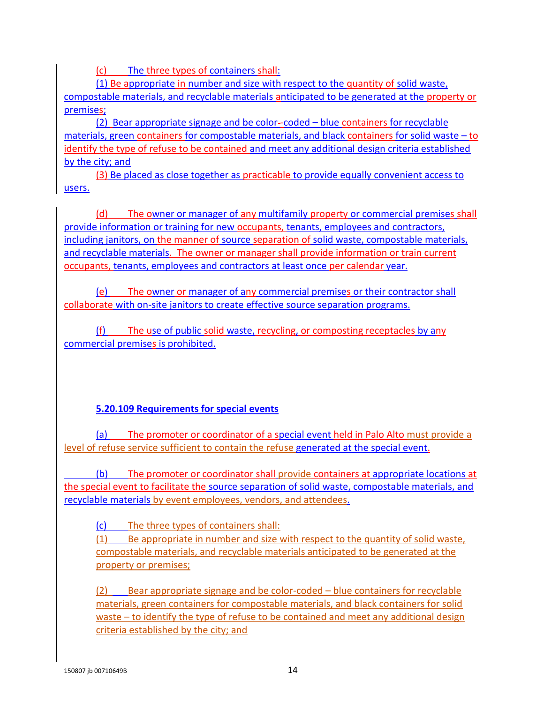(c) The three types of containers shall:

(1) Be appropriate in number and size with respect to the quantity of solid waste, compostable materials, and recyclable materials anticipated to be generated at the property or premises;

(2) Bear appropriate signage and be color -coded – blue containers for recyclable materials, green containers for compostable materials, and black containers for solid waste – to identify the type of refuse to be contained and meet any additional design criteria established by the city; and

(3) Be placed as close together as practicable to provide equally convenient access to users.

(d) The owner or manager of any multifamily property or commercial premises shall provide information or training for new occupants, tenants, employees and contractors, including janitors, on the manner of source separation of solid waste, compostable materials, and recyclable materials. The owner or manager shall provide information or train current occupants, tenants, employees and contractors at least once per calendar year.

(e) The owner or manager of any commercial premises or their contractor shall collaborate with on-site janitors to create effective source separation programs.

(f) The use of public solid waste, recycling, or composting receptacles by any commercial premises is prohibited.

### **5.20.109 Requirements for special events**

(a) The promoter or coordinator of a special event held in Palo Alto must provide a level of refuse service sufficient to contain the refuse generated at the special event.

 (b) The promoter or coordinator shall provide containers at appropriate locations at the special event to facilitate the source separation of solid waste, compostable materials, and recyclable materials by event employees, vendors, and attendees.

(c) The three types of containers shall:

(1) Be appropriate in number and size with respect to the quantity of solid waste, compostable materials, and recyclable materials anticipated to be generated at the property or premises;

(2) Bear appropriate signage and be color-coded – blue containers for recyclable materials, green containers for compostable materials, and black containers for solid waste – to identify the type of refuse to be contained and meet any additional design criteria established by the city; and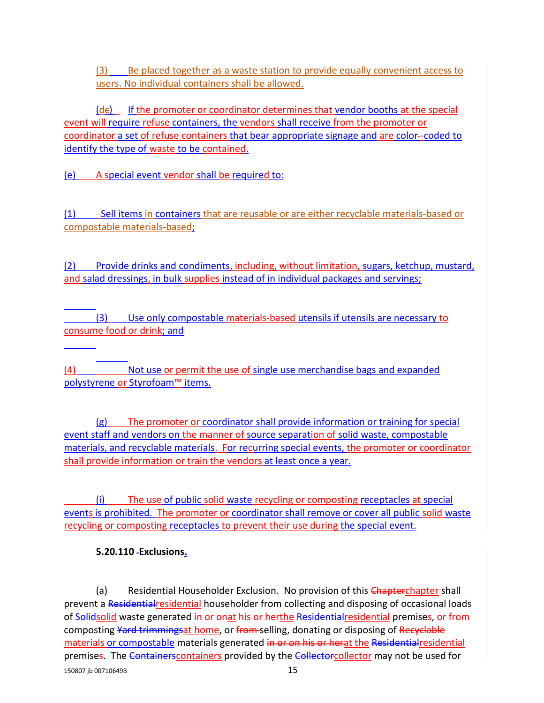(3) Be placed together as a waste station to provide equally convenient access to users. No individual containers shall be allowed.

 $(d\epsilon)$  If the promoter or coordinator determines that vendor booths at the special event will require refuse containers, the vendors shall receive from the promoter or coordinator a set of refuse containers that bear appropriate signage and are color -coded to identify the type of waste to be contained.

(e) A special event vendor shall be required to:

(1) -Sell items in containers that are reusable or are either recyclable materials-based or compostable materials-based;

(2) Provide drinks and condiments, including, without limitation, sugars, ketchup, mustard, and salad dressings, in bulk supplies instead of in individual packages and servings;

 $\overline{a}$  (3) Use only compostable materials-based utensils if utensils are necessary to consume food or drink; and

 $\overline{a}$ (4) ----------Not use or permit the use of single use merchandise bags and expanded polystyrene or Styrofoam™ items.

(g) The promoter or coordinator shall provide information or training for special event staff and vendors on the manner of source separation of solid waste, compostable materials, and recyclable materials. For recurring special events, the promoter or coordinator shall provide information or train the vendors at least once a year.

(i) The use of public solid waste recycling or composting receptacles at special events is prohibited. The promoter or coordinator shall remove or cover all public solid waste recycling or composting receptacles to prevent their use during the special event.

### **5.20.110 Exclusions.**

 $\overline{a}$ 

150807 jb 00710649B 150807 jb 00710649B (a) Residential Householder Exclusion. No provision of this Chapterchapter shall prevent a Residentialresidential householder from collecting and disposing of occasional loads of Solidsolid waste generated in or onat his or herthe Residential residential premises, or from composting Yard trimmingsat home, or from selling, donating or disposing of Recyclable materials or compostable materials generated in or on his or herat the Residential residential premises. The Containerscontainers provided by the Collectorcollector may not be used for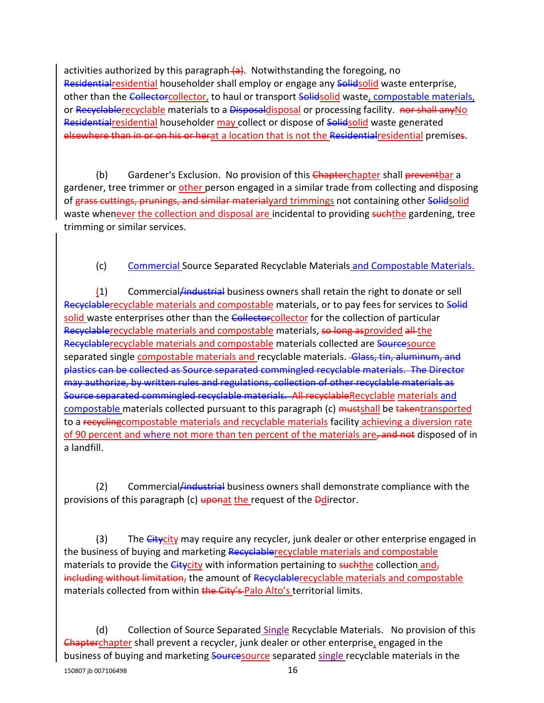activities authorized by this paragraph (a). Notwithstanding the foregoing, no Residential residential householder shall employ or engage any Solidsolid waste enterprise, other than the Collectorcollector, to haul or transport Solidsolid waste, compostable materials, or Recyclablerecyclable materials to a Disposaldisposal or processing facility. nor shall any No Residential residential householder may collect or dispose of Solidsolid waste generated elsewhere than in or on his or herat a location that is not the Residential residential premises.

(b) Gardener's Exclusion. No provision of this Chapterchapter shall preventbar a gardener, tree trimmer or other person engaged in a similar trade from collecting and disposing of grass cuttings, prunings, and similar materialyard trimmings not containing other Solidsolid waste whenever the collection and disposal are incidental to providing such the gardening, tree trimming or similar services.

(c) Commercial Source Separated Recyclable Materials and Compostable Materials.

(1) Commercial/industrial business owners shall retain the right to donate or sell Recyclablerecyclable materials and compostable materials, or to pay fees for services to Solid solid waste enterprises other than the Collectorcollector for the collection of particular Recyclablerecyclable materials and compostable materials, so long asprovided all the Recyclablerecyclable materials and compostable materials collected are Sourcesource separated single compostable materials and recyclable materials. Glass, tin, aluminum, and plastics can be collected as Source separated commingled recyclable materials. The Director may authorize, by written rules and regulations, collection of other recyclable materials as Source separated commingled recyclable materials. All recyclableRecyclable materials and compostable materials collected pursuant to this paragraph (c) mustshall be takentransported to a recycling compostable materials and recyclable materials facility achieving a diversion rate of 90 percent and where not more than ten percent of the materials are, and not disposed of in a landfill.

(2) Commercial *industrial* business owners shall demonstrate compliance with the provisions of this paragraph (c) uponat the request of the **D**director.

(3) The Citycity may require any recycler, junk dealer or other enterprise engaged in the business of buying and marketing Recyclablerecyclable materials and compostable materials to provide the Citycity with information pertaining to suchthe collection and, including without limitation, the amount of Recyclablerecyclable materials and compostable materials collected from within the City's-Palo Alto's territorial limits.

150807 ib 00710649B 16 and 16 (d) Collection of Source Separated Single Recyclable Materials. No provision of this Chapterchapter shall prevent a recycler, junk dealer or other enterprise, engaged in the business of buying and marketing **Sourcesource** separated single recyclable materials in the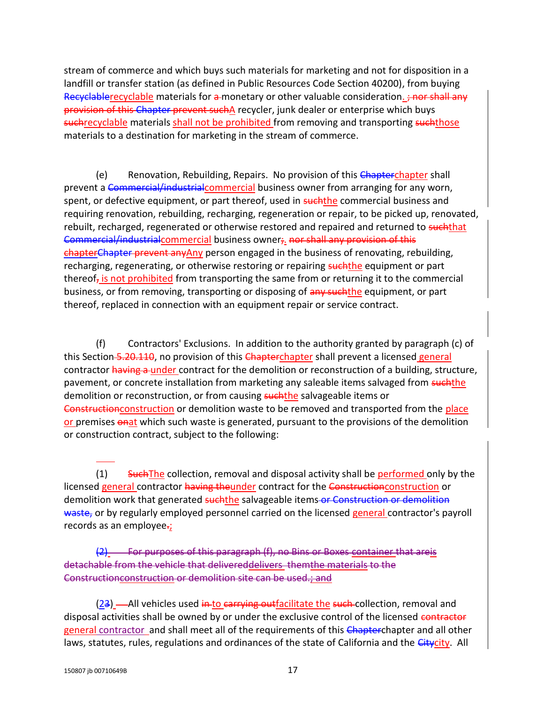stream of commerce and which buys such materials for marketing and not for disposition in a landfill or transfer station (as defined in Public Resources Code Section 40200), from buying Recyclablerecyclable materials for a monetary or other valuable consideration. ; nor shall any provision of this Chapter prevent suchA recycler, junk dealer or enterprise which buys suchrecyclable materials shall not be prohibited from removing and transporting suchthose materials to a destination for marketing in the stream of commerce.

(e) Renovation, Rebuilding, Repairs. No provision of this Chapterchapter shall prevent a Commercial/industrialcommercial business owner from arranging for any worn, spent, or defective equipment, or part thereof, used in such the commercial business and requiring renovation, rebuilding, recharging, regeneration or repair, to be picked up, renovated, rebuilt, recharged, regenerated or otherwise restored and repaired and returned to suchthat Commercial/industrialcommercial business owner;. nor shall any provision of this chapterChapter prevent anyAny person engaged in the business of renovating, rebuilding, recharging, regenerating, or otherwise restoring or repairing such the equipment or part thereof, is not prohibited from transporting the same from or returning it to the commercial business, or from removing, transporting or disposing of any such the equipment, or part thereof, replaced in connection with an equipment repair or service contract.

(f) Contractors' Exclusions. In addition to the authority granted by paragraph (c) of this Section 5.20.110, no provision of this Chapterchapter shall prevent a licensed general contractor having a under contract for the demolition or reconstruction of a building, structure, pavement, or concrete installation from marketing any saleable items salvaged from suchthe demolition or reconstruction, or from causing **suchthe** salvageable items or Construction construction or demolition waste to be removed and transported from the place or premises  $\frac{a}{a}$  which such waste is generated, pursuant to the provisions of the demolition or construction contract, subject to the following:

(1) Such The collection, removal and disposal activity shall be performed only by the licensed general contractor having theunder contract for the Constructionconstruction or demolition work that generated suchthe salvageable items or Construction or demolition waste, or by regularly employed personnel carried on the licensed general contractor's payroll records as an employee.

(2) For purposes of this paragraph (f), no Bins or Boxes container that areis detachable from the vehicle that delivereddelivers themthe materials to the Constructionconstruction or demolition site can be used.; and

(23) -All vehicles used in to carrying outfacilitate the such collection, removal and disposal activities shall be owned by or under the exclusive control of the licensed contractor general contractor and shall meet all of the requirements of this Chapterchapter and all other laws, statutes, rules, regulations and ordinances of the state of California and the *Citycity*. All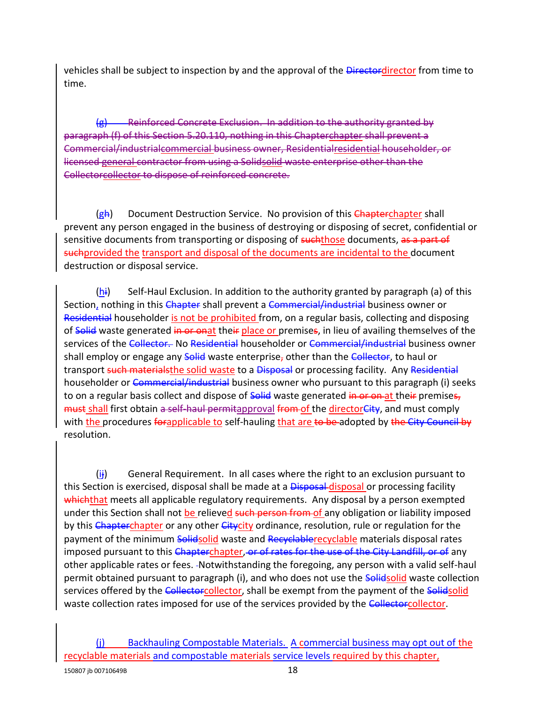vehicles shall be subject to inspection by and the approval of the Directordirector from time to time.

Reinforced Concrete Exclusion. In addition to the authority granted by paragraph (f) of this Section 5.20.110, nothing in this Chapterchapter shall prevent a Commercial/industrialcommercial business owner, Residentialresidential householder, or licensed general contractor from using a Solidsolid waste enterprise other than the Collectorcollector to dispose of reinforced concrete.

(gh) Document Destruction Service. No provision of this Chapterchapter shall prevent any person engaged in the business of destroying or disposing of secret, confidential or sensitive documents from transporting or disposing of such those documents, as a part of suchprovided the transport and disposal of the documents are incidental to the document destruction or disposal service.

 $(h_i)$  Self-Haul Exclusion. In addition to the authority granted by paragraph (a) of this Section, nothing in this Chapter shall prevent a Commercial/industrial business owner or Residential householder is not be prohibited from, on a regular basis, collecting and disposing of Solid waste generated in or onat their place or premises, in lieu of availing themselves of the services of the Collector. No Residential householder or Commercial/industrial business owner shall employ or engage any Solid waste enterprise, other than the Collector, to haul or transport such materialsthe solid waste to a Disposal or processing facility. Any Residential householder or Commercial/industrial business owner who pursuant to this paragraph (i) seeks to on a regular basis collect and dispose of **Solid** waste generated in or on at their premises, must shall first obtain a self-haul permitapproval from of the director City, and must comply with the procedures forapplicable to self-hauling that are to be adopted by the City Council by resolution.

 $(i)$  General Requirement. In all cases where the right to an exclusion pursuant to this Section is exercised, disposal shall be made at a **Disposal-disposal** or processing facility whichthat meets all applicable regulatory requirements. Any disposal by a person exempted under this Section shall not be relieved such person from of any obligation or liability imposed by this Chapterchapter or any other Citycity ordinance, resolution, rule or regulation for the payment of the minimum Solidsolid waste and Recyclablerecyclable materials disposal rates imposed pursuant to this Chapterchapter, or of rates for the use of the City Landfill, or of any other applicable rates or fees. Notwithstanding the foregoing, any person with a valid self-haul permit obtained pursuant to paragraph (i), and who does not use the **Solidsolid** waste collection services offered by the Collectorcollector, shall be exempt from the payment of the Solidsolid waste collection rates imposed for use of the services provided by the Collectorcollector.

<sup>(</sup>j) Backhauling Compostable Materials. A commercial business may opt out of the recyclable materials and compostable materials service levels required by this chapter,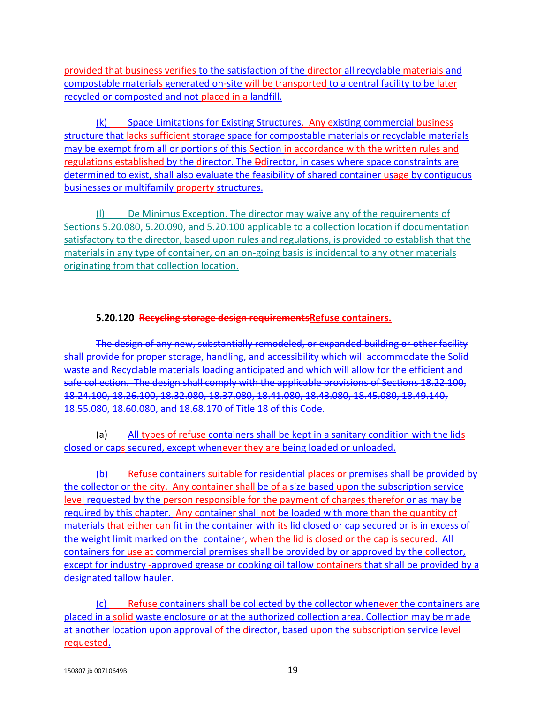provided that business verifies to the satisfaction of the director all recyclable materials and compostable materials generated on-site will be transported to a central facility to be later recycled or composted and not placed in a landfill.

(k) Space Limitations for Existing Structures. Any existing commercial business structure that lacks sufficient storage space for compostable materials or recyclable materials may be exempt from all or portions of this Section in accordance with the written rules and regulations established by the director. The *Dedirector*, in cases where space constraints are determined to exist, shall also evaluate the feasibility of shared container usage by contiguous businesses or multifamily property structures.

(l) De Minimus Exception. The director may waive any of the requirements of Sections 5.20.080, 5.20.090, and 5.20.100 applicable to a collection location if documentation satisfactory to the director, based upon rules and regulations, is provided to establish that the materials in any type of container, on an on-going basis is incidental to any other materials originating from that collection location.

### **5.20.120 Recycling storage design requirementsRefuse containers.**

The design of any new, substantially remodeled, or expanded building or other facility shall provide for proper storage, handling, and accessibility which will accommodate the Solid waste and Recyclable materials loading anticipated and which will allow for the efficient and safe collection. The design shall comply with the applicable provisions of Sections 18.22.100, 18.24.100, 18.26.100, 18.32.080, 18.37.080, 18.41.080, 18.43.080, 18.45.080, 18.49.140, 18.55.080, 18.60.080, and 18.68.170 of Title 18 of this Code.

(a) All types of refuse containers shall be kept in a sanitary condition with the lids closed or caps secured, except whenever they are being loaded or unloaded.

(b) Refuse containers suitable for residential places or premises shall be provided by the collector or the city. Any container shall be of a size based upon the subscription service level requested by the person responsible for the payment of charges therefor or as may be required by this chapter. Any container shall not be loaded with more than the quantity of materials that either can fit in the container with its lid closed or cap secured or is in excess of the weight limit marked on the container, when the lid is closed or the cap is secured. All containers for use at commercial premises shall be provided by or approved by the collector, except for industry-approved grease or cooking oil tallow containers that shall be provided by a designated tallow hauler.

(c) Refuse containers shall be collected by the collector whenever the containers are placed in a solid waste enclosure or at the authorized collection area. Collection may be made at another location upon approval of the director, based upon the subscription service level requested.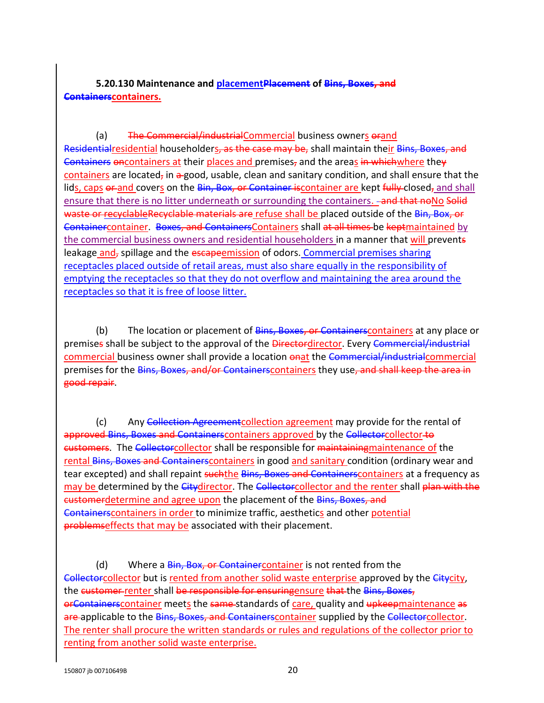**5.20.130 Maintenance and placementPlacement of Bins, Boxes, and Containerscontainers.**

(a) The Commercial/industrialCommercial business owners orand Residentialresidential householders, as the case may be, shall maintain their Bins, Boxes, and Containers oncontainers at their places and premises, and the areas in whichwhere they containers are located, in a good, usable, clean and sanitary condition, and shall ensure that the lids, caps or and covers on the Bin, Box, or Container is container are kept fully closed, and shall ensure that there is no litter underneath or surrounding the containers. -and that noNo Solid waste or recyclableRecyclable materials are refuse shall be placed outside of the Bin, Box, or Containercontainer. Boxes, and ContainersContainers shall at all times be keptmaintained by the commercial business owners and residential householders in a manner that will prevents leakage and, spillage and the escapeemission of odors. Commercial premises sharing receptacles placed outside of retail areas, must also share equally in the responsibility of emptying the receptacles so that they do not overflow and maintaining the area around the receptacles so that it is free of loose litter.

(b) The location or placement of *Bins, Boxes, or Containers* containers at any place or premises shall be subject to the approval of the Directordirector. Every Commercial/industrial commercial business owner shall provide a location onat the Commercial/industrialcommercial premises for the Bins, Boxes, and/or Containers containers they use, and shall keep the area in good repair.

(c) Any Collection Agreement collection agreement may provide for the rental of approved Bins, Boxes and Containers containers approved by the Collector collector to customers. The Collectorcollector shall be responsible for maintainingmaintenance of the rental Bins, Boxes and Containerscontainers in good and sanitary condition (ordinary wear and tear excepted) and shall repaint such the Bins, Boxes and Containers containers at a frequency as may be determined by the Citydirector. The Collectorcollector and the renter shall plan with the customerdetermine and agree upon the placement of the Bins, Boxes, and Containerscontainers in order to minimize traffic, aesthetics and other potential problemseffects that may be associated with their placement.

(d) Where a Bin, Box, or Container container is not rented from the Collectorcollector but is rented from another solid waste enterprise approved by the Citycity, the customer renter shall be responsible for ensuringensure that the Bins, Boxes, orContainerscontainer meets the same-standards of care, quality and upkeepmaintenance as are applicable to the Bins, Boxes, and Containers container supplied by the Collector collector. The renter shall procure the written standards or rules and regulations of the collector prior to renting from another solid waste enterprise.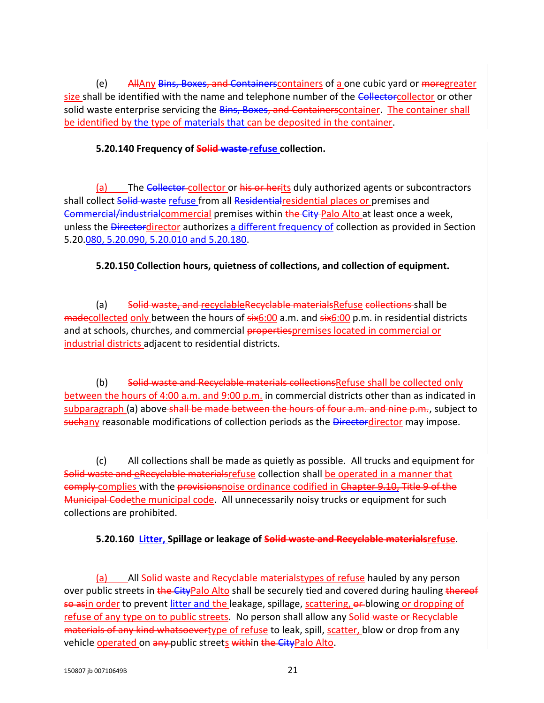(e) AllAny Bins, Boxes, and Containerscontainers of a one cubic yard or moregreater size shall be identified with the name and telephone number of the Collectorcollector or other solid waste enterprise servicing the Bins, Boxes, and Containerscontainer. The container shall be identified by the type of materials that can be deposited in the container.

#### **5.20.140 Frequency of Solid waste refuse collection.**

(a) The Collector collector or his or herits duly authorized agents or subcontractors shall collect Solid waste refuse from all Residential residential places or premises and Commercial/industrialcommercial premises within the City-Palo Alto at least once a week, unless the Directordirector authorizes a different frequency of collection as provided in Section 5.20.080, 5.20.090, 5.20.010 and [5.20.180.](http://www.amlegal.com/nxt/gateway.dll?f=jumplink$jumplink_x=Advanced$jumplink_vpc=first$jumplink_xsl=querylink.xsl$jumplink_sel=title;path;content-type;home-title;item-bookmark$jumplink_d=california(paloalto_ca)$jumplink_q=%5bfield%20folio-destination-name:)

### **5.20.150 Collection hours, quietness of collections, and collection of equipment.**

(a) Solid waste, and recyclable Recyclable materials Refuse collections shall be madecollected only between the hours of  $s$ ix6:00 a.m. and  $s$ ix6:00 p.m. in residential districts and at schools, churches, and commercial propertiespremises located in commercial or industrial districts adjacent to residential districts.

(b) Solid waste and Recyclable materials collectionsRefuse shall be collected only between the hours of 4:00 a.m. and 9:00 p.m. in commercial districts other than as indicated in subparagraph (a) above-shall be made between the hours of four a.m. and nine p.m., subject to suchany reasonable modifications of collection periods as the Directordirector may impose.

(c) All collections shall be made as quietly as possible. All trucks and equipment for Solid waste and eRecyclable materialsrefuse collection shall be operated in a manner that eomply complies with the provisionsnoise ordinance codified in Chapter 9.10, Title 9 of the Municipal Codethe municipal code. All unnecessarily noisy trucks or equipment for such collections are prohibited.

### **5.20.160 Litter, Spillage or leakage of Solid waste and Recyclable materialsrefuse**.

(a) All Solid waste and Recyclable materialstypes of refuse hauled by any person over public streets in the CityPalo Alto shall be securely tied and covered during hauling thereof so asin order to prevent litter and the leakage, spillage, scattering, or blowing or dropping of refuse of any type on to public streets. No person shall allow any Solid waste or Recyclable materials of any kind whatsoevertype of refuse to leak, spill, scatter, blow or drop from any vehicle operated on any public streets within the CityPalo Alto.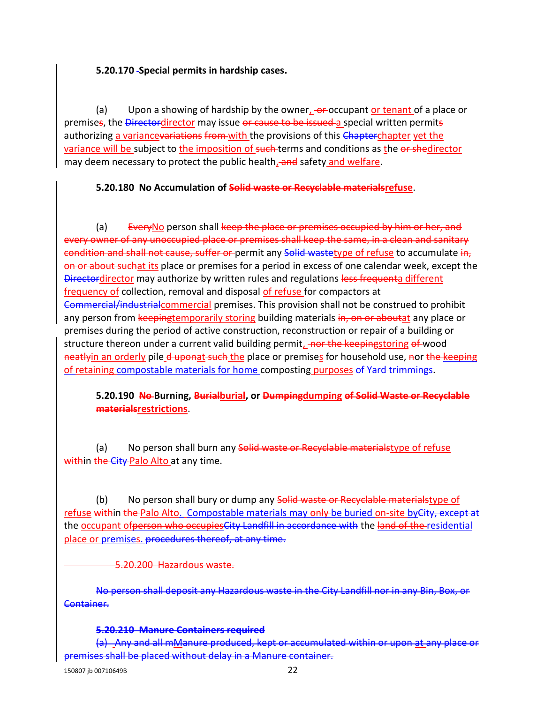#### **5.20.170 Special permits in hardship cases.**

(a) Upon a showing of hardship by the owner,  $\overline{\text{e}}$  reccupant or tenant of a place or premises, the Directordirector may issue or cause to be issued a special written permits authorizing a variance variations from with the provisions of this Chapterchapter yet the variance will be subject to the imposition of such terms and conditions as the or shedirector may deem necessary to protect the public health, and safety and welfare.

### **5.20.180 No Accumulation of Solid waste or Recyclable materialsrefuse**.

(a) EveryNo person shall keep the place or premises occupied by him or her, and wner of any unoccupied place or premises shall keep the same, in a clean and sanitary condition and shall not cause, suffer or permit any Solid wastetype of refuse to accumulate in, on or about suchat its place or premises for a period in excess of one calendar week, except the Directordirector may authorize by written rules and regulations less frequenta different frequency of collection, removal and disposal of refuse for compactors at Commercial/industrialcommercial premises. This provision shall not be construed to prohibit any person from keepingtemporarily storing building materials in, on or aboutat any place or premises during the period of active construction, reconstruction or repair of a building or structure thereon under a current valid building permit, nor the keepingstoring of wood neatlyin an orderly pile d uponat such the place or premises for household use, nor the keeping of retaining compostable materials for home composting purposes of Yard trimmings.

### **5.20.190 No Burning, Burialburial, or Dumpingdumping of Solid Waste or Recyclable materialsrestrictions**.

(a) No person shall burn any **Solid waste or Recyclable materialstype of refuse** within the City-Palo Alto at any time.

(b) No person shall bury or dump any Solid waste or Recyclable materialstype of refuse within the Palo Alto. Compostable materials may only be buried on-site by City, except at the occupant of person who occupies City Landfill in accordance with the land of the residential place or premises. procedures thereof, at any time.

5.20.200 Hazardous waste.

No person shall deposit any Hazardous waste in the City Landfill nor in any Container.

#### **5.20.210 Manure Containers required**

(a) Any and all mManure produced, kept or accumulated within or upon at any place or premises shall be placed without delay in a Manure container.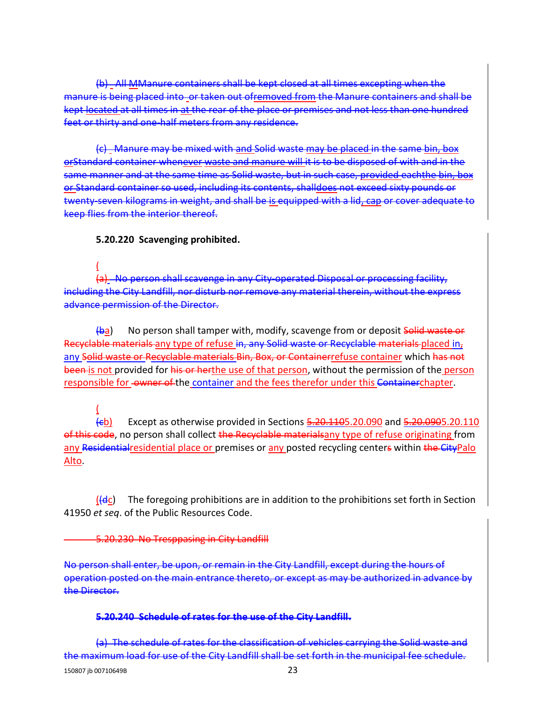All MManure containers shall be kept closed at all times excepting when the manure is being placed into or taken out ofremoved from the Manure containers and shall be kept located at all times in at the rear of the place or premises and not less than one hundred feet or thirty and one-half meters from any residence.

(c) Manure may be mixed with and Solid waste may be placed in the same bin, box orStandard container whenever waste and manure will it is to be disposed of with and in the same manner and at the same time as Solid waste, but in such case, provided eachthe bin or Standard container so used, including its contents, shalldoes not exceed sixty pounds or twenty-seven kilograms in weight, and shall be is equipped with a lid, cap or cover adequate to keep flies from the interior thereof.

#### **5.20.220 Scavenging prohibited.**

( (a) No person shall scavenge in any City-operated Disposal or processing facility, including the City Landfill, nor disturb nor remove any material therein, without the express advance permission of the Director.

(ba) No person shall tamper with, modify, scavenge from or deposit Solid waste or Recyclable materials any type of refuse in, any Solid waste or Recyclable materials placed in, any Solid waste or Recyclable materials Bin, Box, or Containerrefuse container which has not been is not provided for his or herthe use of that person, without the permission of the person responsible for owner of the container and the fees therefor under this Containerchapter.

( (cb) Except as otherwise provided in Sections 5.20.1105.20.090 and 5.20.0905.20.110 of this code, no person shall collect the Recyclable materialsany type of refuse originating from any Residentialresidential place or premises or any posted recycling centers within the CityPalo Alto.

 $(H<sub>et</sub>)$  The foregoing prohibitions are in addition to the prohibitions set forth in Section 41950 *et seq*. of the Public Resources Code.

#### 5.20.230 No Tresppasing in City Landfill

No person shall enter, be upon, or remain in the City Landfill, except during the hours operation posted on the main entrance thereto, or except as may be authorized in advance by the Director.

#### **5.20.240 Schedule of rates for the use of the City Landfill.**

(a) The schedule of rates for the classification of vehicles carrying the Solid waste and the maximum load for use of the City Landfill shall be set forth in the municipal fee schedule.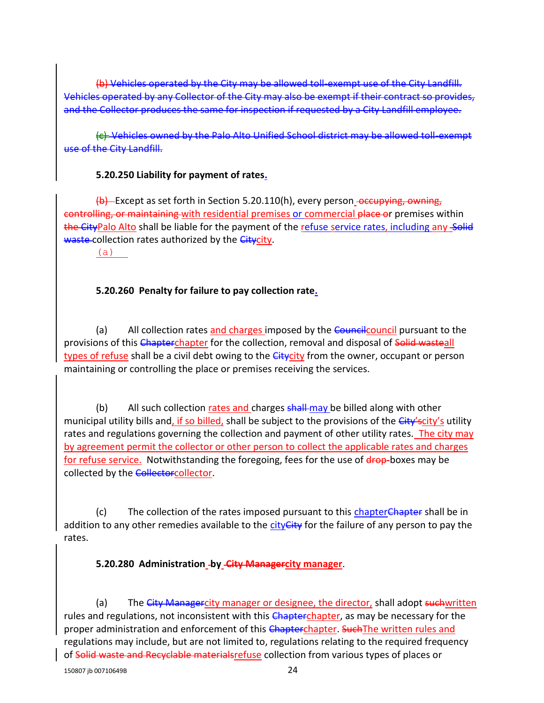(b) Vehicles operated by the City may be allowed toll-exempt use of the City Landfill. Vehicles operated by any Collector of the City may also be exempt if their contract so provides, and the Collector produces the same for inspection if requested by a City Landfill employee.

(c) Vehicles owned by the Palo Alto Unified School district may be allowed toll-exempt use of the City Landfill.

#### **5.20.250 Liability for payment of rates.**

 $\langle b \rangle$  Except as set forth in Section 5.20.110(h), every person occupying, owning, controlling, or maintaining with residential premises or commercial place or premises within the CityPalo Alto shall be liable for the payment of the refuse service rates, including any Solid waste collection rates authorized by the Citycity.

(a)

### **5.20.260 Penalty for failure to pay collection rate.**

(a) All collection rates and charges imposed by the Council pursuant to the provisions of this Chapterchapter for the collection, removal and disposal of Solid wasteall types of refuse shall be a civil debt owing to the *Citycity* from the owner, occupant or person maintaining or controlling the place or premises receiving the services.

(b) All such collection rates and charges shall-may be billed along with other municipal utility bills and, if so billed, shall be subject to the provisions of the City'scity's utility rates and regulations governing the collection and payment of other utility rates. The city may by agreement permit the collector or other person to collect the applicable rates and charges for refuse service. Notwithstanding the foregoing, fees for the use of drop-boxes may be collected by the Collectorcollector.

(c) The collection of the rates imposed pursuant to this chapter Chapter shall be in addition to any other remedies available to the city City for the failure of any person to pay the rates.

### **5.20.280 Administration by City Managercity manager**.

(a) The City Managercity manager or designee, the director, shall adopt suchwritten rules and regulations, not inconsistent with this Chapterchapter, as may be necessary for the proper administration and enforcement of this Chapterchapter. Such The written rules and regulations may include, but are not limited to, regulations relating to the required frequency of Solid waste and Recyclable materialsrefuse collection from various types of places or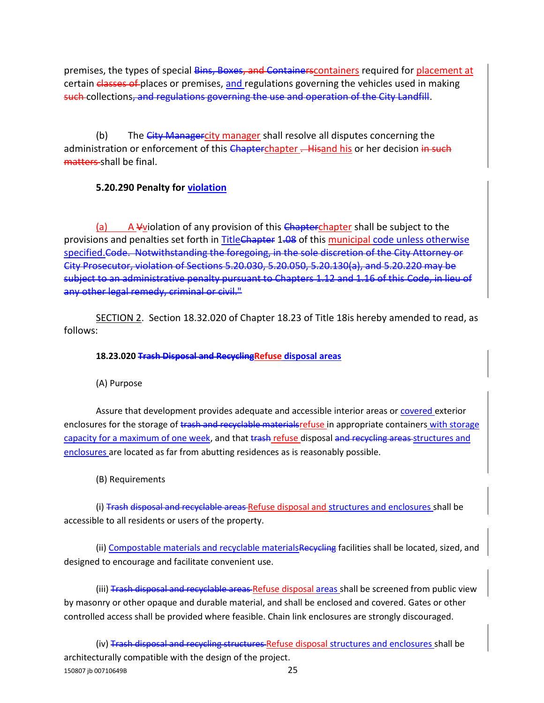premises, the types of special Bins, Boxes, and Containers containers required for placement at certain classes of places or premises, and regulations governing the vehicles used in making such collections, and regulations governing the use and operation of the City Landfill.

(b) The City Managercity manager shall resolve all disputes concerning the administration or enforcement of this Chapterchapter . Hisand his or her decision in such matters shall be final.

### **5.20.290 Penalty for violation**

A Vviolation of any provision of this Chapterchapter shall be subject to the provisions and penalties set forth in TitleChapter 1.08 of this municipal code unless otherwise specified.Code. Notwithstanding the foregoing, in the sole discretion of the City Attorney or City Prosecutor, violation of Sections 5.20.030, 5.20.050, 5.20.130(a), and 5.20.220 may be subject to an administrative penalty pursuant to Chapters 1.12 and 1.16 of this Code, in lieu of any other legal remedy, criminal or civil."

SECTION 2. Section 18.32.020 of Chapter 18.23 of Title 18is hereby amended to read, as follows:

#### **18.23.020 Trash Disposal and RecyclingRefuse disposal areas**

(A) Purpose

Assure that development provides adequate and accessible interior areas or covered exterior enclosures for the storage of trash and recyclable materialsrefuse in appropriate containers with storage capacity for a maximum of one week, and that trash refuse disposal and recycling areas structures and enclosures are located as far from abutting residences as is reasonably possible.

(B) Requirements

(i) Trash disposal and recyclable areas Refuse disposal and structures and enclosures shall be accessible to all residents or users of the property.

(ii) Compostable materials and recyclable materialsRecycling facilities shall be located, sized, and designed to encourage and facilitate convenient use.

(iii) Trash disposal and recyclable areas Refuse disposal areas shall be screened from public view by masonry or other opaque and durable material, and shall be enclosed and covered. Gates or other controlled access shall be provided where feasible. Chain link enclosures are strongly discouraged.

150807 jb 00710649B 25 (iv) Trash disposal and recycling structures Refuse disposal structures and enclosures shall be architecturally compatible with the design of the project.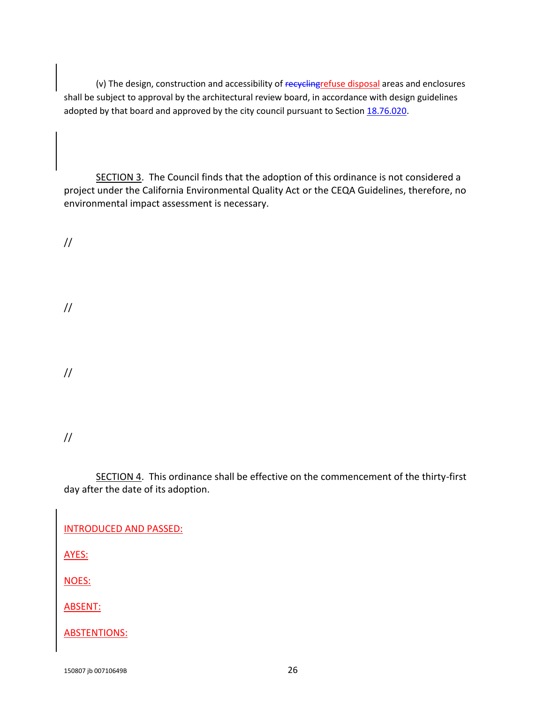(v) The design, construction and accessibility of recyclingrefuse disposal areas and enclosures shall be subject to approval by the architectural review board, in accordance with design guidelines adopted by that board and approved by the city council pursuant to Section  $18.76.020$ .

SECTION 3. The Council finds that the adoption of this ordinance is not considered a project under the California Environmental Quality Act or the CEQA Guidelines, therefore, no environmental impact assessment is necessary.

//

//

//

//

SECTION 4. This ordinance shall be effective on the commencement of the thirty-first day after the date of its adoption.

INTRODUCED AND PASSED:

AYES:

NOES:

ABSENT:

ABSTENTIONS: